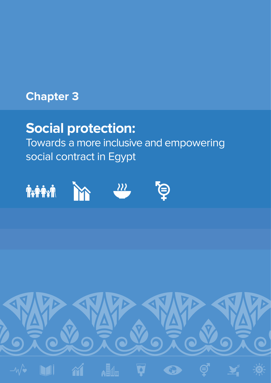## **Chapter 3**

# **Social protection:**

Towards a more inclusive and empowering social contract in Egypt









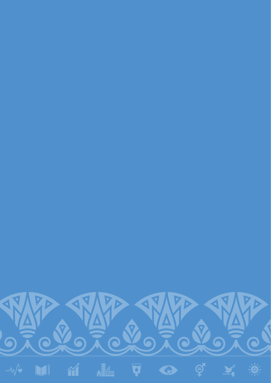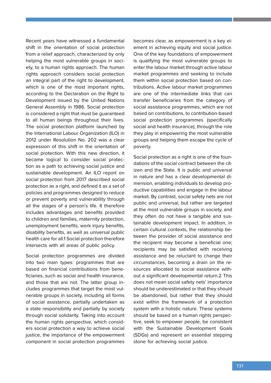Recent years have witnessed a fundamental shift in the orientation of social protection from a relief approach, characterized by only helping the most vulnerable groups in society, to a human rights approach. The human rights approach considers social protection an integral part of the right to development, which is one of the most important rights, according to the Declaration on the Right to Development issued by the United Nations General Assembly in 1986. Social protection is considered a right that must be guaranteed to all human beings throughout their lives. The social protection platform launched by the International Labour Organization (ILO) in 2012 under Resolution No. 202 was a clear expression of this shift in the orientation of social protection. With this new direction, it became logical to consider social protection as a path to achieving social justice and sustainable development. An ILO report on social protection from 2017 described social protection as a right, and defined it as a set of policies and programmes designed to reduce or prevent poverty and vulnerability through all the stages of a person's life. It therefore includes advantages and benefits provided to children and families, maternity protection, unemployment benefits, work injury benefits, disability benefits, as well as universal public health care for all.1 Social protection therefore intersects with all areas of public policy.

Social protection programmes are divided into two main types: programmes that are based on financial contributions from beneficiaries, such as social and health insurance, and those that are not. The latter group includes programmes that target the most vulnerable groups in society, including all forms of social assistance, partially undertaken as a state responsibility and partially by society through social solidarity. Taking into account the human rights perspective, which considers social protection a way to achieve social justice, the importance of the empowerment component in social protection programmes

becomes clear, as empowerment is a key element in achieving equity and social justice. One of the key foundations of empowerment is qualifying the most vulnerable groups to enter the labour market through active labour market programmes and seeking to include them within social protection based on contributions. Active labour market programmes are one of the intermediate links that can transfer beneficiaries from the category of social assistance programmes, which are not based on contributions, to contribution-based social protection programmes (specifically social and health insurance), through the role they play in empowering the most vulnerable groups and helping them escape the cycle of poverty.

Social protection as a right is one of the foundations of the social contract between the citizen and the State. It is public and universal in nature and has a clear developmental dimension, enabling individuals to develop productive capabilities and engage in the labour market. By contrast, social safety nets are not public and universal, but rather are targeted at the most vulnerable groups in society, and they often do not have a tangible and sustainable development impact. In addition, in certain cultural contexts, the relationship between the provider of social assistance and the recipient may become a beneficial one; recipients may be satisfied with receiving assistance and be reluctant to change their circumstances, becoming a drain on the resources allocated to social assistance without a significant developmental return.2 This does not mean social safety nets' importance should be underestimated or that they should be abandoned, but rather that they should exist within the framework of a protection system with a holistic nature. These systems should be based on a human rights perspective, seek to empower people, be consistent with the Sustainable Development Goals (SDGs) and represent an essential stepping stone for achieving social justice.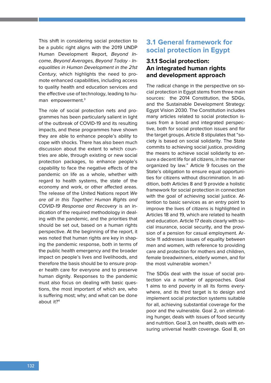This shift in considering social protection to be a public right aligns with the 2019 UNDP Human Development Report, Beyond Income, Beyond Averages, Beyond Today - Inequalities in Human Development in the 21st Century, which highlights the need to promote enhanced capabilities, including access to quality health and education services and the effective use of technology, leading to human empowerment.<sup>3</sup>

The role of social protection nets and programmes has been particularly salient in light of the outbreak of COVID-19 and its resulting impacts, and these programmes have shown they are able to enhance people's ability to cope with shocks. There has also been much discussion about the extent to which countries are able, through existing or new social protection packages, to enhance people's capability to face the negative effects of the pandemic on life as a whole, whether with regard to health systems, the state of the economy and work, or other affected areas. The release of the United Nations report We are all in this Together: Human Rights and COVID-19 Response and Recovery is an indication of the required methodology in dealing with the pandemic, and the priorities that should be set out, based on a human rights perspective. At the beginning of the report, it was noted that human rights are key in shaping the pandemic response, both in terms of the public health emergency and the broader impact on people's lives and livelihoods, and therefore the basis should be to ensure proper health care for everyone and to preserve human dignity. Responses to the pandemic must also focus on dealing with basic questions, the most important of which are, who is suffering most; why; and what can be done about it?4

## **3.1 General framework for social protection in Egypt**

## **3.1.1 Social protection: An integrated human rights and development approach**

The radical change in the perspective on social protection in Egypt stems from three main sources: the 2014 Constitution, the SDGs, and the Sustainable Development Strategy: Egypt Vision 2030. The Constitution includes many articles related to social protection issues from a broad and integrated perspective, both for social protection issues and for the target groups. Article 8 stipulates that "society is based on social solidarity. The State commits to achieving social justice, providing the means to achieve social solidarity to ensure a decent life for all citizens, in the manner organized by law." Article 9 focuses on the State's obligation to ensure equal opportunities for citizens without discrimination. In addition, both Articles 8 and 9 provide a holistic framework for social protection in connection with the goal of achieving social justice. Attention to basic services as an entry point to improve the lives of citizens is highlighted in Articles 18 and 19, which are related to health and education. Article 17 deals clearly with social insurance, social security, and the provision of a pension for casual employment. Article 11 addresses issues of equality between men and women, with reference to providing care and protection for mothers and children, female breadwinners, elderly women, and for the most vulnerable women.<sup>5</sup>

The SDGs deal with the issue of social protection via a number of approaches. Goal 1 aims to end poverty in all its forms everywhere, and its third target is to design and implement social protection systems suitable for all, achieving substantial coverage for the poor and the vulnerable. Goal 2, on eliminating hunger, deals with issues of food security and nutrition. Goal 3, on health, deals with ensuring universal health coverage. Goal 8, on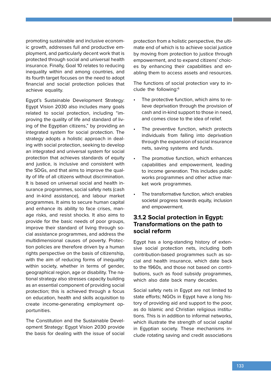promoting sustainable and inclusive economic growth, addresses full and productive employment, and particularly decent work that is protected through social and universal health insurance. Finally, Goal 10 relates to reducing inequality within and among countries, and its fourth target focuses on the need to adopt financial and social protection policies that achieve equality.

Egypt's Sustainable Development Strategy: Egypt Vision 2030 also includes many goals related to social protection, including "improving the quality of life and standard of living of the Egyptian citizens," by providing an integrated system for social protection. The strategy adopts a holistic approach in dealing with social protection, seeking to develop an integrated and universal system for social protection that achieves standards of equity and justice, is inclusive and consistent with the SDGs, and that aims to improve the quality of life of all citizens without discrimination. It is based on universal social and health insurance programmes, social safety nets (cash and in-kind assistance), and labour market programmes. It aims to secure human capital and enhance its ability to face crises, manage risks, and resist shocks. It also aims to provide for the basic needs of poor groups, improve their standard of living through social assistance programmes, and address the multidimensional causes of poverty. Protection policies are therefore driven by a human rights perspective on the basis of citizenship, with the aim of reducing forms of inequality within society, whether in terms of gender, geographical region, age or disability. The national strategy also stresses capacity building as an essential component of providing social protection; this is achieved through a focus on education, health and skills acquisition to create income-generating employment opportunities.

The Constitution and the Sustainable Development Strategy: Egypt Vision 2030 provide the basis for dealing with the issue of social protection from a holistic perspective, the ultimate end of which is to achieve social justice by moving from protection to justice through empowerment, and to expand citizens' choices by enhancing their capabilities and enabling them to access assets and resources.

The functions of social protection vary to include the following:6

- The protective function, which aims to relieve deprivation through the provision of cash and in-kind support to those in need, and comes close to the idea of relief.
- The preventive function, which protects individuals from falling into deprivation through the expansion of social insurance nets, saving systems and funds.
- The promotive function, which enhances capabilities and empowerment, leading to income generation. This includes public works programmes and other active market work programmes.
- The transformative function, which enables societal progress towards equity, inclusion and empowerment.

## **3.1.2 Social protection in Egypt: Transformations on the path to social reform**

Egypt has a long-standing history of extensive social protection nets, including both contribution-based programmes such as social and health insurance, which date back to the 1960s, and those not based on contributions, such as food subsidy programmes, which also date back many decades.

Social safety nets in Egypt are not limited to state efforts; NGOs in Egypt have a long history of providing aid and support to the poor, as do Islamic and Christian religious institutions. This is in addition to informal networks, which illustrate the strength of social capital in Egyptian society. These mechanisms include rotating saving and credit associations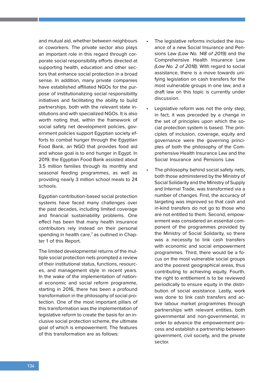and mutual aid, whether between neighbours or coworkers. The private sector also plays an important role in this regard through corporate social responsibility efforts directed at supporting health, education and other sectors that enhance social protection in a broad sense. In addition, many private companies have established affiliated NGOs for the purpose of institutionalizing social responsibility initiatives and facilitating the ability to build partnerships, both with the relevant state institutions and with specialized NGOs. It is also worth noting that, within the framework of social safety net development policies, government policies support Egyptian society efforts to combat hunger through the Egyptian Food Bank, an NGO that provides food aid and whose goal is to end hunger in Egypt. In 2019, the Egyptian Food Bank assisted about 3.5 million families through its monthly and seasonal feeding programmes, as well as providing nearly 3 million school meals to 24 schools.

Egyptian contribution-based social protection systems have faced many challenges over the past decades, including limited coverage and financial sustainability problems. One effect has been that many health insurance contributors rely instead on their personal spending in health care,<sup>7</sup> as outlined in Chapter 1 of this Report.

The limited developmental returns of the multiple social protection nets prompted a review of their institutional status, functions, resources, and management style in recent years. In the wake of the implementation of national economic and social reform programme, starting in 2016, there has been a profound transformation in the philosophy of social protection. One of the most important pillars of this transformation was the implementation of legislative reform to create the basis for an inclusive social protection scheme, the ultimate goal of which is empowerment. The features of this transformation are as follows:

- The legislative reforms included the issuance of a new Social Insurance and Pensions Law (Law No. 148 of 2019) and the Comprehensive Health Insurance Law (Law No. 2 of 2018). With regard to social assistance, there is a move towards unifying legislation on cash transfers for the most vulnerable groups in one law, and a draft law on this topic is currently under discussion.
- Legislative reform was not the only step; in fact, it was preceded by a change in the set of principles upon which the social protection system is based. The principles of inclusion, coverage, equity and governance were the governing principles of both the philosophy of the Comprehensive Health Insurance Law and the Social Insurance and Pensions Law.
- The philosophy behind social safety nets, both those administered by the Ministry of Social Solidarity and the Ministry of Supply and Internal Trade, was transformed via a number of changes. First, the accuracy of targeting was improved so that cash and in-kind transfers do not go to those who are not entitled to them. Second, empowerment was considered an essential component of the programmes provided by the Ministry of Social Solidarity, so there was a necessity to link cash transfers with economic and social empowerment programmes. Third, there would be a focus on the most vulnerable social groups and the poorest geographical areas, thus contributing to achieving equity. Fourth, the right to entitlement is to be reviewed periodically to ensure equity in the distribution of social assistance. Lastly, work was done to link cash transfers and active labour market programmes through partnerships with relevant entities, both governmental and non-governmental, in order to advance the empowerment process and establish a partnership between government, civil society, and the private sector.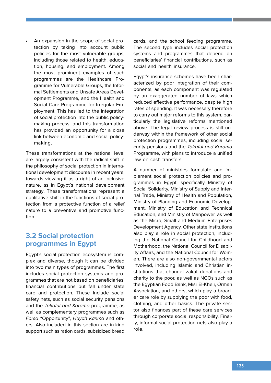• An expansion in the scope of social protection by taking into account public policies for the most vulnerable groups, including those related to health, education, housing, and employment. Among the most prominent examples of such programmes are the Healthcare Programme for Vulnerable Groups, the Informal Settlements and Unsafe Areas Development Programme, and the Health and Social Care Programme for Irregular Employment. This has led to the integration of social protection into the public policymaking process, and this transformation has provided an opportunity for a close link between economic and social policymaking.

These transformations at the national level are largely consistent with the radical shift in the philosophy of social protection in international development discourse in recent years, towards viewing it as a right of an inclusive nature, as in Egypt's national development strategy. These transformations represent a qualitative shift in the functions of social protection from a protective function of a relief nature to a preventive and promotive function.

## **3.2 Social protection programmes in Egypt**

Egypt's social protection ecosystem is complex and diverse, though it can be divided into two main types of programmes. The first includes social protection systems and programmes that are not based on beneficiaries' financial contributions but fall under state care and protection. These include social safety nets, such as social security pensions and the Takaful and Karama programme, as well as complementary programmes such as Forsa "Opportunity", Hayah Karima and others. Also included in this section are in-kind support such as ration cards, subsidized bread cards, and the school feeding programme. The second type includes social protection systems and programmes that depend on beneficiaries' financial contributions, such as social and health insurance.

Egypt's insurance schemes have been characterized by poor integration of their components, as each component was regulated by an exaggerated number of laws which reduced effective performance, despite high rates of spending. It was necessary therefore to carry out major reforms to this system, particularly the legislative reforms mentioned above. The legal review process is still underway within the framework of other social protection programmes, including social security pensions and the Takaful and Karama Programme, with plans to introduce a unified law on cash transfers.

A number of ministries formulate and implement social protection policies and programmes in Egypt, specifically Ministry of Social Solidarity, Ministry of Supply and Internal Trade, Ministry of Health and Population, Ministry of Planning and Economic Development, Ministry of Education and Technical Education, and Ministry of Manpower, as well as the Micro, Small and Medium Enterprises Development Agency. Other state institutions also play a role in social protection, including the National Council for Childhood and Motherhood, the National Council for Disability Affairs, and the National Council for Women. There are also non-governmental actors involved, including Islamic and Christian institutions that channel zakat donations and charity to the poor, as well as NGOs such as the Egyptian Food Bank, Misr El-Kheir, Orman Association, and others, which play a broader care role by supplying the poor with food, clothing, and other basics. The private sector also finances part of these care services through corporate social responsibility. Finally, informal social protection nets also play a role.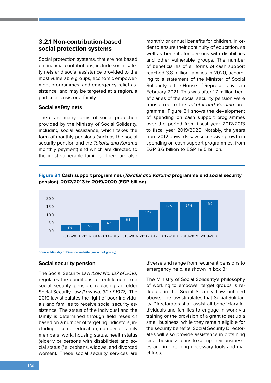## **3.2.1 Non-contribution-based social protection systems**

Social protection systems, that are not based on financial contributions, include social safety nets and social assistance provided to the most vulnerable groups, economic empowerment programmes, and emergency relief assistance, and may be targeted at a region, a particular crisis or a family.

#### **Social safety nets**

There are many forms of social protection provided by the Ministry of Social Solidarity, including social assistance, which takes the form of monthly pensions (such as the social security pension and the Takaful and Karama monthly payment) and which are directed to the most vulnerable families. There are also

monthly or annual benefits for children, in order to ensure their continuity of education, as well as benefits for persons with disabilities and other vulnerable groups. The number of beneficiaries of all forms of cash support reached 3.8 million families in 2020, according to a statement of the Minister of Social Solidarity to the House of Representatives in February 2021. This was after 1.7 million beneficiaries of the social security pension were transferred to the Takaful and Karama programme. Figure 3.1 shows the development of spending on cash support programmes over the period from fiscal year 2012/2013 to fiscal year 2019/2020. Notably, the years from 2012 onwards saw successive growth in spending on cash support programmes, from EGP 3.6 billion to EGP 18.5 billion.





**Source: Ministry of Finance website (www.mof.gov.eg).**

#### **Social security pension**

The Social Security Law (Law No. 137 of 2010) regulates the conditions for entitlement to a social security pension, replacing an older Social Security Law (Law No. 30 of 1977). The 2010 law stipulates the right of poor individuals and families to receive social security assistance. The status of the individual and the family is determined through field research based on a number of targeting indicators, including income, education, number of family members, work, housing status, health status (elderly or persons with disabilities) and social status (i.e. orphans, widows, and divorced women). These social security services are diverse and range from recurrent pensions to emergency help, as shown in box 3.1

The Ministry of Social Solidarity's philosophy of working to empower target groups is reflected in the Social Security Law outlined above. The law stipulates that Social Solidarity Directorates shall assist all beneficiary individuals and families to engage in work via training or the provision of a grant to set up a small business, while they remain eligible for the security benefits. Social Security Directorates will also provide assistance in obtaining small business loans to set up their businesses and in obtaining necessary tools and machines.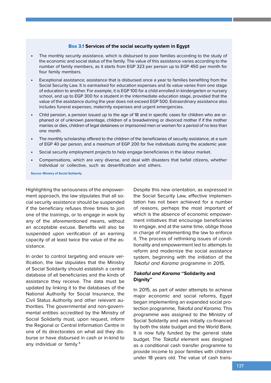#### **Box 3.1 Services of the social security system in Egypt**

- **•** The monthly security assistance, which is disbursed to poor families according to the study of the economic and social status of the family. The value of this assistance varies according to the number of family members, as it starts from EGP 323 per person up to EGP 450 per month for four family members.
- **•** Exceptional assistance; assistance that is disbursed once a year to families benefiting from the Social Security Law. It is earmarked for education expenses and its value varies from one stage of education to another. For example, it is EGP 100 for a child enrolled in kindergarten or nursery school, and up to EGP 300 for a student in the intermediate education stage, provided that the value of the assistance during the year does not exceed EGP 500. Extraordinary assistance also includes funeral expenses, maternity expenses and urgent emergencies.
- **•** Child pension, a pension issued up to the age of 18 and in specific cases for children who are orphaned or of unknown parentage, children of a breadwinning or divorced mother if if the mother marries or dies, children of legal detainees or imprisoned men or women for a period of no less than one month.
- The monthly scholarship offered to the children of the beneficiaries of security assistance, at a sum of EGP 40 per person, and a maximum of EGP 200 for five individuals during the academic year.
- **•** Social security employment projects to help engage beneficiaries in the labour market.
- **•** Compensations, which are very diverse, and deal with disasters that befall citizens, whether individual or collective, such as desertification and others.

**Source: Ministry of Social Solidarity**

Highlighting the seriousness of the empowerment approach, the law stipulates that all social security assistance should be suspended if the beneficiary refuses three times to join one of the trainings, or to engage in work by any of the aforementioned means, without an acceptable excuse. Benefits will also be suspended upon verification of an earning capacity of at least twice the value of the assistance.

In order to control targeting and ensure verification, the law stipulates that the Ministry of Social Solidarity should establish a central database of all beneficiaries and the kinds of assistance they receive. The data must be updated by linking it to the databases of the National Authority for Social Insurance, the Civil Status Authority and other relevant authorities. The governmental and non-governmental entities accredited by the Ministry of Social Solidarity must, upon request, inform the Regional or Central Information Centre in one of its directorates on what aid they disburse or have disbursed in cash or in-kind to any individual or family.<sup>8</sup>

Despite this new orientation, as expressed in the Social Security Law, effective implementation has not been achieved for a number of reasons, perhaps the most important of which is the absence of economic empowerment initiatives that encourage beneficiaries to engage, and at the same time, oblige those in charge of implementing the law to enforce it. The process of rethinking issues of conditionality and empowerment led to attempts to reform and modernize the social assistance system, beginning with the initiation of the Takaful and Karama programme in 2015.

#### **Takaful and Karama ''Solidarity and Dignity''**

In 2015, as part of wider attempts to achieve major economic and social reforms, Egypt began implementing an expanded social protection programme, Takaful and Karama. This programme was assigned to the Ministry of Social Solidarity and was initially co-financed by both the state budget and the World Bank. It is now fully funded by the general state budget. The Takaful element was designed as a conditional cash transfer programme to provide income to poor families with children under 18 years old. The value of cash trans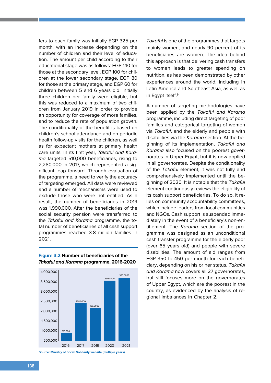fers to each family was initially EGP 325 per month, with an increase depending on the number of children and their level of education. The amount per child according to their educational stage was as follows: EGP 140 for those at the secondary level, EGP 100 for children at the lower secondary stage, EGP 80 for those at the primary stage, and EGP 60 for children between 5 and 6 years old. Initially three children per family were eligible, but this was reduced to a maximum of two children from January 2019 in order to provide an opportunity for coverage of more families, and to reduce the rate of population growth. The conditionality of the benefit is based on children's school attendance and on periodic health follow-up visits for the children, as well as for expectant mothers at primary health care units. In its first year, Takaful and Karama targeted 510,000 beneficiaries, rising to 2,280,000 in 2017, which represented a significant leap forward. Through evaluation of the programme, a need to verify the accuracy of targeting emerged. All data were reviewed and a number of mechanisms were used to exclude those who were not entitled. As a result, the number of beneficiaries in 2019 was 1,990,000. After the beneficiaries of the social security pension were transferred to the Takaful and Karama programme, the total number of beneficiaries of all cash support programmes reached 3.8 million families in 2021.

380,0000 360,0000 199,0000 228,0000 510,000 2016 2017 2019 2020 2021 4,000,000 3,500,000 3,000,000 2,500,000 2,000,000 1,500,000 1,000,000 500,000

#### **Figure 3.2 Number of beneficiaries of the Takaful and Karama programme, 2016-2020**

**Source: Ministry of Social Solidarity website (multiple years).**

Takaful is one of the programmes that targets mainly women, and nearly 90 percent of its beneficiaries are women. The idea behind this approach is that delivering cash transfers to women leads to greater spending on nutrition, as has been demonstrated by other experiences around the world, including in Latin America and Southeast Asia, as well as in Egypt itself.<sup>9</sup>

A number of targeting methodologies have been applied by the Takaful and Karama programme, including direct targeting of poor families and categorical targeting of women via Takaful, and the elderly and people with disabilities via the Karama section. At the beginning of its implementation, Takaful and Karama also focused on the poorest governorates in Upper Egypt, but it is now applied in all governorates. Despite the conditionality of the Takaful element, it was not fully and comprehensively implemented until the beginning of 2020. It is notable that the Takaful element continuously reviews the eligibility of its cash support beneficiaries. To do so, it relies on community accountability committees, which include leaders from local communities and NGOs. Cash support is suspended immediately in the event of a beneficiary's non-entitlement. The Karama section of the programme was designed as an unconditional cash transfer programme for the elderly poor (over 65 years old) and people with severe disabilities. The amount of aid ranges from EGP 350 to 450 per month for each beneficiary, depending on his or her status. Takaful and Karama now covers all 27 governorates, but still focuses more on the governorates of Upper Egypt, which are the poorest in the country, as evidenced by the analysis of regional imbalances in Chapter 2.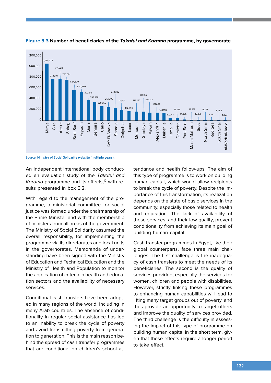



An independent international body conducted an evaluation study of the Takaful and Karama programme and its effects,<sup>10</sup> with results presented in box 3.2.

With regard to the management of the programme, a ministerial committee for social justice was formed under the chairmanship of the Prime Minister and with the membership of ministers from all areas of the government. The Ministry of Social Solidarity assumed the overall responsibility, for implementing the programme via its directorates and local units in the governorates. Memoranda of understanding have been signed with the Ministry of Education and Technical Education and the Ministry of Health and Population to monitor the application of criteria in health and education sectors and the availability of necessary services.

Conditional cash transfers have been adopted in many regions of the world, including in many Arab countries. The absence of conditionality in regular social assistance has led to an inability to break the cycle of poverty and avoid transmitting poverty from generation to generation. This is the main reason behind the spread of cash transfer programmes that are conditional on children's school attendance and health follow-ups. The aim of this type of programme is to work on building human capital, which would allow recipients to break the cycle of poverty. Despite the importance of this transformation, its realization depends on the state of basic services in the community, especially those related to health and education. The lack of availability of these services, and their low quality, prevent conditionality from achieving its main goal of building human capital.

Cash transfer programmes in Egypt, like their global counterparts, face three main challenges. The first challenge is the inadequacy of cash transfers to meet the needs of its beneficiaries. The second is the quality of services provided, especially the services for women, children and people with disabilities. However, strictly linking these programmes to enhancing human capabilities will lead to lifting many target groups out of poverty, and thus provide an opportunity to target others and improve the quality of services provided. The third challenge is the difficulty in assessing the impact of this type of programme on building human capital in the short term, given that these effects require a longer period to take effect.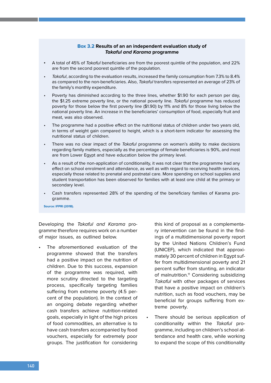#### **Box 3.2 Results of an an independent evaluation study of Takaful and Karama programme**

- A total of 45% of Takaful beneficiaries are from the poorest quintile of the population, and 22% are from the second poorest quintile of the population.
- Takaful, according to the evaluation results, increased the family consumption from 7.3% to 8.4% as compared to the non-beneficiaries. Also, Takaful transfers represented an average of 23% of the family's monthly expenditure.
- Poverty has diminished according to the three lines, whether \$1.90 for each person per day, the \$1.25 extreme poverty line, or the national poverty line. Takaful programme has reduced poverty for those below the first poverty line (\$1.90) by 11% and 8% for those living below the national poverty line. An increase in the beneficiaries' consumption of food, especially fruit and meat, was also observed.
- The programme had a positive effect on the nutritional status of children under two years old, in terms of weight gain compared to height, which is a short-term indicator for assessing the nutritional status of children.
- There was no clear impact of the Takaful programme on women's ability to make decisions regarding family matters, especially as the percentage of female beneficiaries is 90%, and most are from Lower Egypt and have education below the primary level.
- As a result of the non-application of conditionality, it was not clear that the programme had any effect on school enrolment and attendance, as well as with regard to receiving health services, especially those related to prenatal and postnatal care. More spending on school supplies and student transportation has been observed for families with at least one child at the primary or secondary level.
- Cash transfers represented 28% of the spending of the beneficiary families of Karama programme.

**Source: IFPRI (2018).**

Developing the Takaful and Karama programme therefore requires work on a number of major issues, as outlined below.

• The aforementioned evaluation of the programme showed that the transfers had a positive impact on the nutrition of children. Due to this success, expansion of the programme was required, with more scrutiny directed to the targeting process, specifically targeting families suffering from extreme poverty (4.5 percent of the population). In the context of an ongoing debate regarding whether cash transfers achieve nutrition-related goals, especially in light of the high prices of food commodities, an alternative is to have cash transfers accompanied by food vouchers, especially for extremely poor groups. The justification for considering this kind of proposal as a complementary intervention can be found in the findings of a multidimensional poverty report by the United Nations Children's Fund (UNICEF), which indicated that approximately 30 percent of children in Egypt suffer from multidimensional poverty and 21 percent suffer from stunting, an indicator of malnutrition.<sup>11</sup> Considering subsidizing Takaful with other packages of services that have a positive impact on children's nutrition, such as food vouchers, may be beneficial for groups suffering from extreme poverty.

There should be serious application of conditionality within the Takaful programme, including on children's school attendance and health care, while working to expand the scope of this conditionality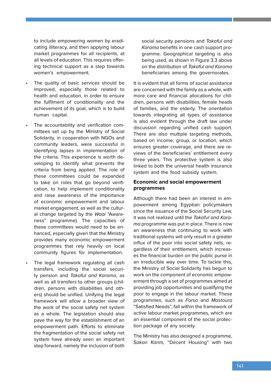to include empowering women by eradicating illiteracy, and then applying labour market programmes for all recipients, at all levels of education. This requires offering technical support as a step towards women's empowerment.

- The quality of basic services should be improved, especially those related to health and education, in order to ensure the fulfilment of conditionality and the achievement of its goal, which is to build human capital.
- The accountability and verification committees set up by the Ministry of Social Solidarity, in cooperation with NGOs and community leaders, were successful in identifying lapses in implementation of the criteria. This experience is worth developing to identify what prevents the criteria from being applied. The role of these committees could be expanded to take on roles that go beyond verification, to help implement conditionality and raise awareness of the importance of economic empowerment and labour market engagement, as well as the cultural change targeted by the Waai "Awareness" programme). The capacities of these committees would need to be enhanced, especially given that the Ministry provides many economic empowerment programmes that rely heavily on local community figures for implementation.
- The legal framework regulating all cash transfers, including the social security pension and Takaful and Karama, as well as all transfers to other groups (children, persons with disabilities and others) should be unified. Unifying the legal framework will allow a broader view of the work of the social safety net system as a whole. The legislation should also pave the way for the establishment of an empowerment path. Efforts to eliminate the fragmentation of the social safety net system have already seen an important step forward, namely the inclusion of both

social security pensions and Takaful and Karama benefits in one cash support programme. Geographical targeting is also being used, as shown in Figure 3.3 above on the distribution of Takaful and Karama beneficiaries among the governorates.

It is evident that all forms of social assistance are concerned with the family as a whole, with more care and financial allocations for children, persons with disabilities, female heads of families, and the elderly. The orientation towards integrating all types of assistance is also evident through the draft law under discussion regarding unified cash support. There are also multiple targeting methods, based on income, group, or location, which ensures greater coverage, and there are reviews of the beneficiaries' entitlement every three years. This protective system is also linked to both the universal health insurance system and the food subsidy system.

#### **Economic and social empowerment programmes**

Although there had been an interest in empowerment among Egyptian policymakers since the issuance of the Social Security Law, it was not realized until the Takaful and Karama programme was put in place. There is now an awareness that continuing to work with traditional systems will only result in a greater influx of the poor into social safety nets, regardless of their entitlement, which increases the financial burden on the public purse in an irreducible way over time. To tackle this, the Ministry of Social Solidarity has begun to work on the component of economic empowerment through a set of programmes aimed at providing job opportunities and qualifying the poor to engage in the labour market. These programmes, such as Forsa and Mastoura "Satisfied Needs", fall within the framework of active labour market programmes, which are an essential component of the social protection package of any society.

The Ministry has also designed a programme, Sakan Karim, "Decent Housing" with two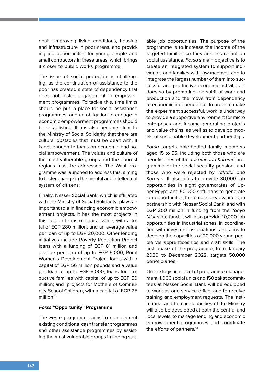goals: improving living conditions, housing and infrastructure in poor areas, and providing job opportunities for young people and small contractors in these areas, which brings it closer to public works programme.

The issue of social protection is challenging, as the continuation of assistance to the poor has created a state of dependency that does not foster engagement in empowerment programmes. To tackle this, time limits should be put in place for social assistance programmes, and an obligation to engage in economic empowerment programmes should be established. It has also become clear to the Ministry of Social Solidarity that there are cultural obstacles that must be dealt with. It is not enough to focus on economic and social empowerment. The values and culture of the most vulnerable groups and the poorest regions must be addressed. The Waai programme was launched to address this, aiming to foster change in the mental and intellectual system of citizens.

Finally, Nasser Social Bank, which is affiliated with the Ministry of Social Solidarity, plays an important role in financing economic empowerment projects. It has the most projects in this field in terms of capital value, with a total of EGP 280 million, and an average value per loan of up to EGP 20,000. Other lending initiatives include Poverty Reduction Project loans with a funding of EGP 81 million and a value per loan of up to EGP 5,000; Rural Women's Development Project loans with a capital of EGP 56 million pounds and a value per loan of up to EGP 5,000; loans for productive families with capital of up to EGP 50 million; and projects for Mothers of Community School Children, with a capital of EGP 25 million.<sup>12</sup>

#### **Forsa "Opportunity" Programme**

The Forsa programme aims to complement existing conditional cash transfer programmes and other assistance programmes by assisting the most vulnerable groups in finding suitable job opportunities. The purpose of the programme is to increase the income of the targeted families so they are less reliant on social assistance. Forsa's main objective is to create an integrated system to support individuals and families with low incomes, and to integrate the largest number of them into successful and productive economic activities. It does so by promoting the spirit of work and production and the move from dependency to economic independence. In order to make the experiment successful, work is underway to provide a supportive environment for micro enterprises and income-generating projects and value chains, as well as to develop models of sustainable development partnerships.

Forsa targets able-bodied family members aged 15 to 55, including both those who are beneficiaries of the Takaful and Karama programme or the social security pension, and those who were rejected by Takaful and Karama. It also aims to provide 30,000 job opportunities in eight governorates of Upper Egypt, and 50,000 soft loans to generate job opportunities for female breadwinners, in partnership with Nasser Social Bank, and with EGP 250 million in funding from the Tahya Misr state fund. It will also provide 10,000 job opportunities in industrial zones, in coordination with investors' associations, and aims to develop the capacities of 20,000 young people via apprenticeships and craft skills. The first phase of the programme, from January 2020 to December 2022, targets 50,000 beneficiaries.

On the logistical level of programme management, 1,000 social units and 150 zakat committees at Nasser Social Bank will be equipped to work as one service office, and to receive training and employment requests. The institutional and human capacities of the Ministry will also be developed at both the central and local levels, to manage lending and economic empowerment programmes and coordinate the efforts of partners.<sup>13</sup>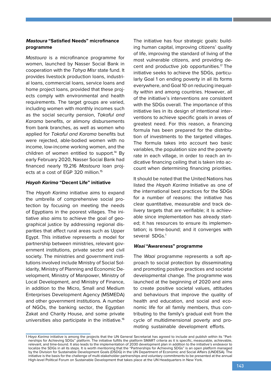#### **Mastoura "Satisfied Needs" microfinance programme**

Mastoura is a microfinance programme for women, launched by Nasser Social Bank in cooperation with the Tahya Misr state fund. It provides livestock production loans, industrial loans, commercial loans, service loans and home project loans, provided that these projects comply with environmental and health requirements. The target groups are varied, including women with monthly incomes such as the social security pension, Takaful and Karama benefits, or alimony disbursements from bank branches, as well as women who applied for Takaful and Karama benefits but were rejected, able-bodied women with no income, low-income working women, and the children of women entitled to support.<sup>14</sup> By early February 2020, Nasser Social Bank had financed nearly 19,216 Mastoura loan projects at a cost of EGP 320 million.<sup>15</sup>

#### **Hayah Karima "Decent Life" initiative**

The Hayah Karima initiative aims to expand the umbrella of comprehensive social protection by focusing on meeting the needs of Egyptians in the poorest villages. The initiative also aims to achieve the goal of geographical justice by addressing regional disparities that affect rural areas such as Upper Egypt. This initiative represents a model for partnership between ministries, relevant government institutions, private sector and civil society. The ministries and government institutions involved include Ministry of Social Solidarity, Ministry of Planning and Economic Development, Ministry of Manpower, Ministry of Local Development, and Ministry of Finance, in addition to the Micro, Small and Medium Enterprises Development Agency (MSMEDA) and other government institutions. A number of NGOs, the banking sector, the Egyptian Zakat and Charity House, and some private universities also participate in the initiative.<sup>16</sup>

The initiative has four strategic goals: building human capital, improving citizens' quality of life, improving the standard of living of the most vulnerable citizens, and providing decent and productive job opportunities.<sup>17</sup> The initiative seeks to achieve the SDGs, particularly Goal 1 on ending poverty in all its forms everywhere, and Goal 10 on reducing inequality within and among countries. However, all of the initiative's interventions are consistent with the SDGs overall. The importance of this initiative lies in its design of intentional interventions to achieve specific goals in areas of greatest need. For this reason, a financing formula has been prepared for the distribution of investments to the targeted villages. The formula takes into account two basic variables, the population size and the poverty rate in each village, in order to reach an indicative financing ceiling that is taken into account when determining financing priorities.

It should be noted that the United Nations has listed the Hayah Karima Initiative as one of the international best practices for the SDGs for a number of reasons: the initiative has clear quantitative, measurable and track delivery targets that are verifiable; it is achievable since implementation has already started; it has resources to ensure its implementation; is time-bound; and it converges with several SDGs.<sup>1</sup>

#### **Waai "Awareness" programme**

The *Waai* programme represents a soft approach to social protection by disseminating and promoting positive practices and societal developmental change. The programme was launched at the beginning of 2020 and aims to create positive societal values, attitudes and behaviours that improve the quality of health and education, and social and economic life for all family members, thus contributing to the family's gradual exit from the cycle of multidimensional poverty and promoting sustainable development efforts.

<sup>1</sup> Haya Karima initiative is among the projects that the UN General Secretariat has agreed to include and publish within its "Partnerships for Achieving SDGs" platform. The initiative fulfills the platform SMART criteria as it is specific, measurable, achievable, relevant, and time-bound. It also leads to the implementation of 2030 development plan in addition to the initiative's endeavor to localize the SDGs in all its steps. It is worth mentioning that the "Partnerships for Achieving SDGs" is an open platform managed by the Division for Sustainable Development Goals (DSDG) in the UN Department of Economic and Social Affairs (UNDESA). The initiative is the basis for the challenge of multi-stakeholder partnerships and voluntary commitments to be presented at the annual High-level Political Forum on Sustainable Development that takes place at the UN Headquarters in New York.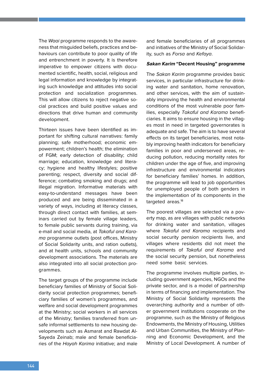The *Waai* programme responds to the awareness that misguided beliefs, practices and behaviours can contribute to poor quality of life and entrenchment in poverty. It is therefore imperative to empower citizens with documented scientific, health, social, religious and legal information and knowledge by integrating such knowledge and attitudes into social protection and socialization programmes. This will allow citizens to reject negative social practices and build positive values and directions that drive human and community development.

Thirteen issues have been identified as important for shifting cultural narratives: family planning; safe motherhood; economic empowerment; children's health; the elimination of FGM; early detection of disability; child marriage; education, knowledge and literacy; hygiene and healthy lifestyles; positive parenting; respect, diversity and social difference; combating smoking and drugs; and illegal migration. Informative materials with easy-to-understand messages have been produced and are being disseminated in a variety of ways, including at literacy classes, through direct contact with families, at seminars carried out by female village leaders, to female public servants during training, via e-mail and social media, at Takaful and Karama programme outlets (post offices, Ministry of Social Solidarity units, and ration outlets), and at health units, schools and community development associations. The materials are also integrated into all social protection programmes.

The target groups of the programme include beneficiary families of Ministry of Social Solidarity social protection programmes; beneficiary families of women's programmes, and welfare and social development programmes at the Ministry; social workers in all services of the Ministry; families transferred from unsafe informal settlements to new housing developments such as Asmarat and Rawdat Al-Sayeda Zeinab; male and female beneficiaries of the Hayah Karima initiative; and male and female beneficiaries of all programmes and initiatives of the Ministry of Social Solidarity, such as Forsa and Kefaya.

#### **Sakan Karim "Decent Housing" programme**

The Sakan Karim programme provides basic services, in particular infrastructure for drinking water and sanitation, home renovation, and other services, with the aim of sustainably improving the health and environmental conditions of the most vulnerable poor families, especially Takaful and Karama beneficiaries. It aims to ensure housing in the villages most in need in targeted governorates is adequate and safe. The aim is to have several effects on its target beneficiaries, most notably improving health indicators for beneficiary families in poor and underserved areas, reducing pollution, reducing mortality rates for children under the age of five, and improving infrastructure and environmental indicators for beneficiary families' homes. In addition, the programme will lead to job opportunities for unemployed people of both genders in the implementation of its components in the targeted areas.<sup>18</sup>

The poorest villages are selected via a poverty map, as are villages with public networks for drinking water and sanitation, villages where Takaful and Karama recipients and social security pension recipients live, and villages where residents did not meet the requirements of Takaful and Karama and the social security pension, but nonetheless need some basic services.

The programme involves multiple parties, including government agencies, NGOs and the private sector, and is a model of partnership in terms of financing and implementation. The Ministry of Social Solidarity represents the overarching authority and a number of other government institutions cooperate on the programme, such as the Ministry of Religious Endowments, the Ministry of Housing, Utilities and Urban Communities, the Ministry of Planning and Economic Development, and the Ministry of Local Development. A number of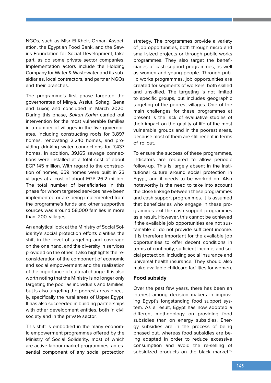NGOs, such as Misr El-Kheir, Orman Association, the Egyptian Food Bank, and the Sawiris Foundation for Social Development, take part, as do some private sector companies. Implementation actors include the Holding Company for Water & Wastewater and its subsidiaries, local contractors, and partner NGOs and their branches.

The programme's first phase targeted the governorates of Minya, Assiut, Sohag, Qena and Luxor, and concluded in March 2020. During this phase, Sakan Karim carried out intervention for the most vulnerable families in a number of villages in the five governorates, including constructing roofs for 3,897 homes, renovating 2,240 homes, and providing drinking water connections for 7,437 homes. In addition, 39,165 sewage connections were installed at a total cost of about EGP 145 million. With regard to the construction of homes, 659 homes were built in 23 villages at a cost of about EGP 26.2 million. The total number of beneficiaries in this phase for whom targeted services have been implemented or are being implemented from the programme's funds and other supportive sources was around 58,000 families in more than 200 villages.

An analytical look at the Ministry of Social Solidarity's social protection efforts clarifies the shift in the level of targeting and coverage on the one hand, and the diversity in services provided on the other. It also highlights the reconsideration of the component of economic and social empowerment and the realization of the importance of cultural change. It is also worth noting that the Ministry is no longer only targeting the poor as individuals and families, but is also targeting the poorest areas directly, specifically the rural areas of Upper Egypt. It has also succeeded in building partnerships with other development entities, both in civil society and in the private sector.

This shift is embodied in the many economic empowerment programmes offered by the Ministry of Social Solidarity, most of which are active labour market programmes, an essential component of any social protection strategy. The programmes provide a variety of job opportunities, both through micro and small-sized projects or through public works programmes. They also target the beneficiaries of cash support programmes, as well as women and young people. Through public works programmes, job opportunities are created for segments of workers, both skilled and unskilled. The targeting is not limited to specific groups, but includes geographic targeting of the poorest villages. One of the main challenges for these programmes at present is the lack of evaluative studies of their impact on the quality of life of the most vulnerable groups and in the poorest areas, because most of them are still recent in terms of rollout.

To ensure the success of these programmes, indicators are required to allow periodic follow-up. This is largely absent in the institutional culture around social protection in Egypt, and it needs to be worked on. Also noteworthy is the need to take into account the close linkage between these programmes and cash support programmes. It is assumed that beneficiaries who engage in these programmes exit the cash support programmes as a result. However, this cannot be achieved if the available job opportunities are not sustainable or do not provide sufficient income. It is therefore important for the available job opportunities to offer decent conditions in terms of continuity, sufficient income, and social protection, including social insurance and universal health insurance. They should also make available childcare facilities for women.

#### **Food subsidy**

Over the past few years, there has been an interest among decision makers in improving Egypt's longstanding food support system. As a result, Egypt has now adopted a different methodology on providing food subsidies than on energy subsidies. Energy subsidies are in the process of being phased out, whereas food subsidies are being adapted in order to reduce excessive consumption and avoid the re-selling of subsidized products on the black market.<sup>19</sup>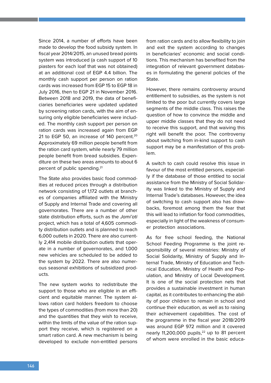Since 2014, a number of efforts have been made to develop the food subsidy system. In fiscal year 2014/2015, an unused bread points system was introduced (a cash support of 10 piasters for each loaf that was not obtained) at an additional cost of EGP 4.4 billion. The monthly cash support per person on ration cards was increased from EGP 15 to EGP 18 in July 2016, then to EGP 21 in November 2016. Between 2018 and 2019, the data of beneficiaries beneficiaries were updated updated by screening ration cards, with the aim of ensuring only eligible beneficiaries were included. The monthly cash support per person on ration cards was increased again from EGP 21 to EGP 50, an increase of 140 percent.<sup>20</sup> Approximately 69 million people benefit from the ration card system, while nearly 79 million people benefit from bread subsidies. Expenditure on these two areas amounts to about 6 percent of public spending.<sup>21</sup>

The State also provides basic food commodities at reduced prices through a distribution network consisting of 1,172 outlets at branches of companies affiliated with the Ministry of Supply and Internal Trade and covering all governorates. There are a number of other state distribution efforts, such as the Jami'ati project, which has a total of 4,605 commodity distribution outlets and is planned to reach 6,000 outlets in 2020. There are also currently 2,414 mobile distribution outlets that operate in a number of governorates, and 1,000 new vehicles are scheduled to be added to the system by 2022. There are also numerous seasonal exhibitions of subsidized products.

The new system works to redistribute the support to those who are eligible in an efficient and equitable manner. The system allows ration card holders freedom to choose the types of commodities (from more than 20) and the quantities that they wish to receive, within the limits of the value of the ration support they receive, which is registered on a smart ration card. A new mechanism is being developed to exclude non-entitled persons from ration cards and to allow flexibility to join and exit the system according to changes in beneficiaries' economic and social conditions. This mechanism has benefited from the integration of relevant government databases in formulating the general policies of the State.

However, there remains controversy around entitlement to subsidies, as the system is not limited to the poor but currently covers large segments of the middle class. This raises the question of how to convince the middle and upper middle classes that they do not need to receive this support, and that waiving this right will benefit the poor. The controversy about switching from in-kind support to cash support may be a manifestation of this problem.

A switch to cash could resolve this issue in favour of the most entitled persons, especially if the database of those entitled to social assistance from the Ministry of Social Solidarity was linked to the Ministry of Supply and Internal Trade's databases. However, the idea of switching to cash support also has drawbacks, foremost among them the fear that this will lead to inflation for food commodities, especially in light of the weakness of consumer protection associations.

As for free school feeding, the National School Feeding Programme is the joint responsibility of several ministries: Ministry of Social Solidarity, Ministry of Supply and Internal Trade, Ministry of Education and Technical Education, Ministry of Health and Population, and Ministry of Local Development. It is one of the social protection nets that provides a sustainable investment in human capital, as it contributes to enhancing the ability of poor children to remain in school and continue their education, as well as to raising their achievement capabilities. The cost of the programme in the fiscal year 2018/2019 was around EGP 972 million and it covered nearly 11,200,000 pupils, $22$  up to 81 percent of whom were enrolled in the basic educa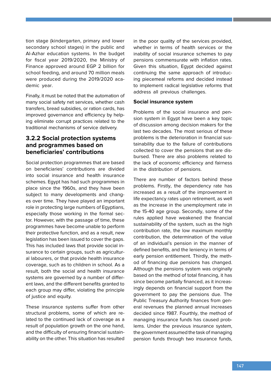tion stage (kindergarten, primary and lower secondary school stages) in the public and Al-Azhar education systems. In the budget for fiscal year 2019/2020, the Ministry of Finance approved around EGP 2 billion for school feeding, and around 70 million meals were produced during the 2019/2020 academic year.

Finally, it must be noted that the automation of many social safety net services, whether cash transfers, bread subsidies, or ration cards, has improved governance and efficiency by helping eliminate corrupt practices related to the traditional mechanisms of service delivery.

## **3.2.2 Social protection systems and programmes based on beneficiaries' contributions**

Social protection programmes that are based on beneficiaries' contributions are divided into social insurance and health insurance schemes. Egypt has had such programmes in place since the 1960s, and they have been subject to many developments and changes over time. They have played an important role in protecting large numbers of Egyptians, especially those working in the formal sector. However, with the passage of time, these programmes have become unable to perform their protective function, and as a result, new legislation has been issued to cover the gaps. This has included laws that provide social insurance to certain groups, such as agricultural labourers, or that provide health insurance coverage, such as to children in school. As a result, both the social and health insurance systems are governed by a number of different laws, and the different benefits granted to each group may differ, violating the principle of justice and equity.

These insurance systems suffer from other structural problems, some of which are related to the continued lack of coverage as a result of population growth on the one hand, and the difficulty of ensuring financial sustainability on the other. This situation has resulted

in the poor quality of the services provided, whether in terms of health services or the inability of social insurance schemes to pay pensions commensurate with inflation rates. Given this situation, Egypt decided against continuing the same approach of introducing piecemeal reforms and decided instead to implement radical legislative reforms that address all previous challenges.

#### **Social insurance system**

Problems of the social insurance and pension system in Egypt have been a key topic of discussion among decision makers for the last two decades. The most serious of these problems is the deterioration in financial sustainability due to the failure of contributions collected to cover the pensions that are disbursed. There are also problems related to the lack of economic efficiency and fairness in the distribution of pensions.

There are number of factors behind these problems. Firstly, the dependency rate has increased as a result of the improvement in life expectancy rates upon retirement, as well as the increase in the unemployment rate in the 15-40 age group. Secondly, some of the rules applied have weakened the financial sustainability of the system, such as the high contribution rate, the low maximum monthly contribution, the determination of the value of an individual's pension in the manner of defined benefits, and the leniency in terms of early pension entitlement. Thirdly, the method of financing due pensions has changed. Although the pensions system was originally based on the method of total financing, it has since become partially financed, as it increasingly depends on financial support from the government to pay the pensions due. The Public Treasury Authority finances from general revenues the planned annual increases decided since 1987. Fourthly, the method of managing insurance funds has caused problems. Under the previous insurance system, the government assumed the task of managing pension funds through two insurance funds,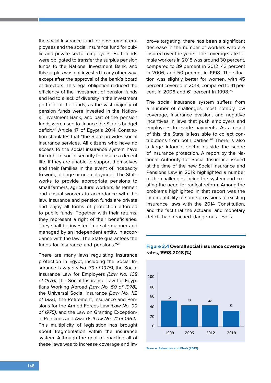the social insurance fund for government employees and the social insurance fund for public and private sector employees. Both funds were obligated to transfer the surplus pension funds to the National Investment Bank, and this surplus was not invested in any other way, except after the approval of the bank's board of directors. This legal obligation reduced the efficiency of the investment of pension funds and led to a lack of diversity in the investment portfolio of the funds, as the vast majority of pension funds were invested in the National Investment Bank, and part of the pension funds were used to finance the State's budget deficit.<sup>23</sup> Article 17 of Egypt's 2014 Constitution stipulates that "the State provides social insurance services. All citizens who have no access to the social insurance system have the right to social security to ensure a decent life, if they are unable to support themselves and their families in the event of incapacity to work, old age or unemployment. The State works to provide appropriate pensions to small farmers, agricultural workers, fishermen and casual workers in accordance with the law. Insurance and pension funds are private and enjoy all forms of protection afforded to public funds. Together with their returns, they represent a right of their beneficiaries. They shall be invested in a safe manner and managed by an independent entity, in accordance with the law. The State guarantees the funds for insurance and pensions."24

There are many laws regulating insurance protection in Egypt, including the Social Insurance Law (Law No. 79 of 1975), the Social Insurance Law for Employers (Law No. 108 of 1976), the Social Insurance Law for Egyptians Working Abroad (Law No. 50 of 1978), the Universal Social Insurance (Law No. 112 of 1980), the Retirement, Insurance and Pensions for the Armed Forces Law (Law No. 90 of 1975), and the Law on Granting Exceptional Pensions and Awards (Law No. 71 of 1964). This multiplicity of legislation has brought about fragmentation within the insurance system. Although the goal of enacting all of these laws was to increase coverage and improve targeting, there has been a significant decrease in the number of workers who are insured over the years. The coverage rate for male workers in 2018 was around 30 percent, compared to 39 percent in 2012, 43 percent in 2006, and 50 percent in 1998. The situation was slightly better for women, with 45 percent covered in 2018, compared to 41 percent in 2006 and 61 percent in 1998.<sup>25</sup>

The social insurance system suffers from a number of challenges, most notably low coverage, insurance evasion, and negative incentives in laws that push employers and employees to evade payments. As a result of this, the State is less able to collect contributions from both parties.<sup>26</sup> There is also a large informal sector outside the scope of insurance protection. A report by the National Authority for Social Insurance issued at the time of the new Social Insurance and Pensions Law in 2019 highlighted a number of the challenges facing the system and creating the need for radical reform. Among the problems highlighted in that report was the incompatibility of some provisions of existing insurance laws with the 2014 Constitution, and the fact that the actuarial and monetary deficit had reached dangerous levels.



#### **Figure 3.4 Overall social insurance coverage rates, 1998-2018 (%)**

**Source: Selwanes and Ehab (2019).**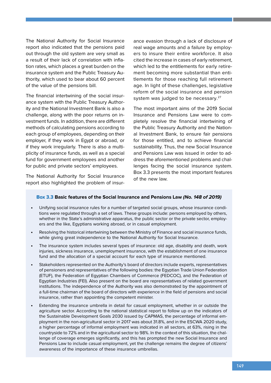The National Authority for Social Insurance report also indicated that the pensions paid out through the old system are very small as a result of their lack of correlation with inflation rates, which places a great burden on the insurance system and the Public Treasury Authority, which used to bear about 60 percent of the value of the pensions bill.

The financial intertwining of the social insurance system with the Public Treasury Authority and the National Investment Bank is also a challenge, along with the poor returns on investment funds. In addition, there are different methods of calculating pensions according to each group of employees, depending on their employer, if they work in Egypt or abroad, or if they work irregularly. There is also a multiplicity of insurance funds, as well as a special fund for government employees and another for public and private sectors' employees.

The National Authority for Social Insurance report also highlighted the problem of insur-

ance evasion through a lack of disclosure of real wage amounts and a failure by employers to insure their entire workforce. It also cited the increase in cases of early retirement, which led to the entitlements for early retirement becoming more substantial than entitlements for those reaching full retirement age. In light of these challenges, legislative reform of the social insurance and pension system was judged to be necessary. $27$ 

The most important aims of the 2019 Social Insurance and Pensions Law were to completely resolve the financial intertwining of the Public Treasury Authority and the National Investment Bank, to ensure fair pensions for those entitled, and to achieve financial sustainability. Thus, the new Social Insurance and Pensions Law was issued in order to address the aforementioned problems and challenges facing the social insurance system. Box 3.3 presents the most important features of the new law.

#### **Box 3.3 Basic features of the Social Insurance and Pensions Law (No. 148 of 2019)**

- **•** Unifying social insurance rules for a number of targeted social groups, whose insurance conditions were regulated through a set of laws. These groups include: persons employed by others, whether in the State's administrative apparatus, the public sector or the private sector, employers and the like, Egyptians working abroad, or in casual employment.
- **•** Resolving the historical intertwining between the Ministry of Finance and social insurance funds, while giving great independence to the National Authority for Social Insurance.
- **•** The insurance system includes several types of insurance: old age, disability and death, work injuries, sickness insurance, unemployment insurance, with the establishment of one insurance fund and the allocation of a special account for each type of insurance mentioned.
- **•** Stakeholders represented on the Authority's board of directors include experts, representatives of pensioners and representatives of the following bodies: the Egyptian Trade Union Federation (ETUF), the Federation of Egyptian Chambers of Commerce (FEDCOC), and the Federation of Egyptian Industries (FEI). Also present on the board are representatives of related government institutions. The independence of the Authority was also demonstrated by the appointment of a full-time chairman of the board of directors with experience in the field of pensions and social insurance, rather than appointing the competent minister.
- **•** Extending the insurance umbrella in detail for casual employment, whether in or outside the agriculture sector. According to the national statistical report to follow up on the indicators of the Sustainable Development Goals 2030 issued by CAPMAS, the percentage of informal employment in the non-agricultural sector in 2017 was about 31.8%, and in the ESCWA 2020 study, a higher percentage of informal employment was indicated in all sectors, at 63%, rising in the countryside to 72% and in the agricultural sector to 98%. In the context of this situation, the challenge of coverage emerges significantly, and this has prompted the new Social Insurance and Pensions Law to include casual employment, yet the challenge remains the degree of citizens' awareness of the importance of these insurance umbrellas.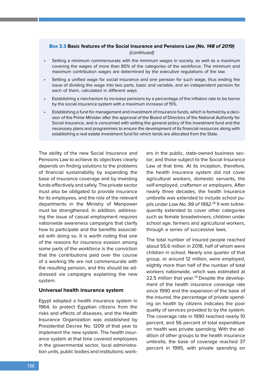#### **Box 3.3 Basic features of the Social Insurance and Pensions Law (No. 148 of 2019)** (continued)

- Setting a minimum commensurate with the minimum wages in society, as well as a maximum covering the wages of more than 80% of the categories of the workforce. The minimum and maximum contribution wages are determined by the executive regulations of the law.
- Setting a unified wage for social insurance and one pension for such wage, thus ending the issue of dividing the wage into two parts, basic and variable, and an independent pension for each of them, calculated in different ways.
- Establishing a mechanism to increase pensions by a percentage of the inflation rate to be borne by the social insurance system with a maximum increase of 15%.
- Establishing a fund for management and investment of insurance funds, which is formed by a decision of the Prime Minister after the approval of the Board of Directors of the National Authority for Social Insurance, and is concerned with setting the general policy of the investment fund and the necessary plans and programmes to ensure the development of its financial resources along with establishing a real estate investment fund for which lands are allocated from the State.

The ability of the new Social Insurance and Pensions Law to achieve its objectives clearly depends on finding solutions to the problems of financial sustainability by expanding the base of insurance coverage and by investing funds effectively and safely. The private sector must also be obligated to provide insurance for its employees, and the role of the relevant departments in the Ministry of Manpower must be strengthened. In addition, addressing the issue of casual employment requires nationwide awareness campaigns that clarify how to participate and the benefits associated with doing so. It is worth noting that one of the reasons for insurance evasion among some parts of the workforce is the conviction that the contributions paid over the course of a working life are not commensurate with the resulting pension, and this should be addressed via campaigns explaining the new system.

#### **Universal health insurance system**

Egypt adopted a health insurance system in 1964, to protect Egyptian citizens from the risks and effects of diseases, and the Health Insurance Organization was established by Presidential Decree No. 1209 of that year to implement the new system. The health insurance system at that time covered employees in the governmental sector, local administration units, public bodies and institutions; workers in the public, state-owned business sector; and those subject to the Social Insurance Law at that time. At its inception, therefore, the health insurance system did not cover agricultural workers, domestic servants, the self-employed, craftsmen or employers. After nearly three decades, the health insurance umbrella was extended to include school pupils under Law No. 99 of 1992.<sup>28</sup> It was subsequently extended to cover other categories such as female breadwinners, children under school age, farmers and agricultural workers, through a series of successive laws.

The total number of insured people reached about 55.6 million in 2018, half of whom were children in school. Nearly one quarter of that group, or around 12 million, were employed, slightly more than half of the number of total workers nationwide, which was estimated at 22.5 million that year.<sup>29</sup> Despite the development of the health insurance coverage rate since 1990 and the expansion of the base of the insured, the percentage of private spending on health by citizens indicates the poor quality of services provided to by the system. The coverage rate in 1990 reached nearly 10 percent, and 56 percent of total expenditure on health was private spending. With the addition of other groups to the health insurance umbrella, the base of coverage reached 37 percent in 1995, with private spending on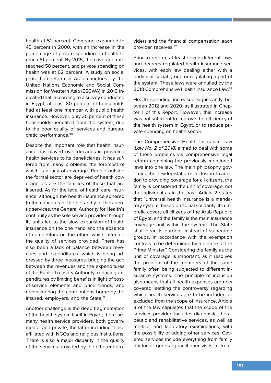health at 51 percent. Coverage expanded to 45 percent in 2000, with an increase in the percentage of private spending on health to reach 61 percent. By 2015, the coverage rate reached 58 percent, and private spending on health was at 62 percent. A study on social protection reform in Arab countries by the United Nations Economic and Social Commission for Western Asia (ESCWA) in 2019 indicated that, according to a survey conducted in Egypt, at least 80 percent of households had at least one member with public health insurance. However, only 25 percent of these households benefited from the system, due to the poor quality of services and bureaucratic performance.30

Despite the important role that health insurance has played over decades in providing health services to its beneficiaries, it has suffered from many problems, the foremost of which is a lack of coverage. People outside the formal sector are deprived of health coverage, as are the families of those that are insured. As for the level of health care insurance, although the health insurance adhered to the concepts of the hierarchy of therapeutic services, the General Authority for Health's continuity as the sole service provider through its units led to the slow expansion of health insurance on the one hand and the absence of competitors on the other, which affected the quality of services provided. There has also been a lack of balance between revenues and expenditures, which is being addressed by three measures: bridging the gap between the revenues and the expenditures of the Public Treasury Authority; reducing expenditures by limiting benefits in light of costof-service elements and price trends; and reconsidering the contributions borne by the insured, employers, and the State.<sup>31</sup>

Another challenge is the deep fragmentation of the health system itself in Egypt; there are many health service providers, both governmental and private, the latter including those affiliated with NGOs and religious institutions. There is also a major disparity in the quality of the services provided by the different providers and the financial compensation each provider receives.32

Prior to reform, at least seven different laws and decrees regulated health insurance services, with each law dealing either with a particular social group or regulating a part of the system. These laws were annulled by the 2018 Comprehensive Health Insurance Law.<sup>33</sup>

Health spending increased significantly between 2012 and 2020, as illustrated in Chapter 1 of this Report. However, this increase was not sufficient to improve the efficiency of the health system in Egypt, or to reduce private spending on health sector.

The Comprehensive Health Insurance Law (Law No. 2 of 2018) aimed to deal with some of these problems via comprehensive legal reform combining the previously mentioned laws into one law. The main philosophy governing the new legislation is inclusion. In addition to providing coverage for all citizens, the family is considered the unit of coverage, not the individual as in the past. Article 2 states that "universal health insurance is a mandatory system, based on social solidarity. Its umbrella covers all citizens of the Arab Republic of Egypt, and the family is the main insurance coverage unit within the system. The State shall bear its burdens instead of vulnerable groups, in accordance with the exemption controls to be determined by a decree of the Prime Minister." Considering the family as the unit of coverage is important, as it resolves the problem of the members of the same family often being subjected to different insurance systems. The principle of inclusion also means that all health expenses are now covered, settling the controversy regarding which health services are to be included or excluded from the scope of insurance. Article 3 of the law stipulates that the scope of the services provided includes diagnostic, therapeutic and rehabilitative services, as well as medical and laboratory examinations, with the possibility of adding other services. Covered services include everything from family doctor or general practitioner visits to treat-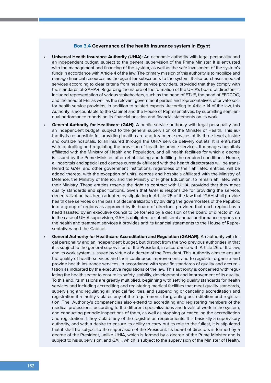#### **Box 3.4 Governance of the health insurance system in Egypt**

- **• Universal Health Insurance Authority (UHIA):** An economic authority with legal personality and an independent budget, subject to the general supervision of the Prime Minister. It is entrusted with the management and financing of the system, as well as the safe investment of the system's funds in accordance with Article 4 of the law. The primary mission of this authority is to mobilize and manage financial resources as the agent for subscribers to the system. It also purchases medical services according to clear criteria from health service providers, provided that they comply with the standards of GAHAR. Regarding the nature of the formation of the UHIA's board of directors, it included representation of various stakeholders, such as the head of ETUF, the head of FEDCOC, and the head of FEI, as well as the relevant government parties and representatives of private sector health service providers, in addition to related experts. According to Article 14 of the law, this Authority is accountable to the Cabinet and the House of Representatives, by submitting semi-annual performance reports on its financial position and financial statements on its work.
- **• General Authority for Healthcare (GAH):** A public service authority with legal personality and an independent budget, subject to the general supervision of the Minister of Health. This authority is responsible for providing health care and treatment services at its three levels, inside and outside hospitals, to all insured through the UHIA service delivery outlets. It is entrusted with controlling and regulating the provision of health insurance services. It manages hospitals affiliated with the Ministry of Health and Population, and all health facilities for which a decree is issued by the Prime Minister, after rehabilitating and fulfilling the required conditions. Hence, all hospitals and specialized centres currently affiliated with the health directorates will be transferred to GAH, and other government institutions, regardless of their affiliated entities, will be added thereto, with the exception of units, centres and hospitals affiliated with the Ministry of Defence, the Ministry of Interior, and the Ministry of Higher Education, to remain affiliated with their Ministry. These entities reserve the right to contract with UHIA, provided that they meet quality standards and specifications. Given that GAH is responsible for providing the service, decentralization has been adopted by stipulating in Article 25 of the law that "GAH shall provide health care services on the basis of decentralization by dividing the governorates of the Republic into a group of regions as approved by its board of directors, provided that each region has a head assisted by an executive council to be formed by a decision of the board of directors". As in the case of UHIA supervision, GAH is obligated to submit semi-annual performance reports on the health and treatment services it provides and its financial statements to the House of Representatives and the Cabinet.
- **• General Authority for Healthcare Accreditation and Regulation (GAHAR):** An authority with legal personality and an independent budget, but distinct from the two previous authorities in that it is subject to the general supervision of the President, in accordance with Article 26 of the law, and its work system is issued by virtue of a decree of the President. This Authority aims to ensure the quality of health services and their continuous improvement, and to regulate, organize and provide health insurance services, in accordance with specific standards of quality and accreditation as indicated by the executive regulations of the law. This authority is concerned with regulating the health sector to ensure its safety, stability, development and improvement of its quality. To this end, its missions are greatly multiplied, beginning with setting quality standards for health services and including accrediting and registering medical facilities that meet quality standards, supervising and regulating all medical facilities, and suspending or canceling accreditation and registration if a facility violates any of the requirements for granting accreditation and registration. The Authority's competencies also extend to accrediting and registering members of the medical professions, according to the different specializations and levels of work in the system, and conducting periodic inspections of them, as well as stopping or canceling the accreditation and registration if they violate any of the registration requirements. It is basically a supervisory authority, and with a desire to ensure its ability to carry out its role to the fullest, it is stipulated that it shall be subject to the supervision of the President. Its board of directors is formed by a decree of the President, unlike UHIA, which is formed by a decree of the Prime Minister and is subject to his supervision, and GAH, which is subject to the supervision of the Minister of Health.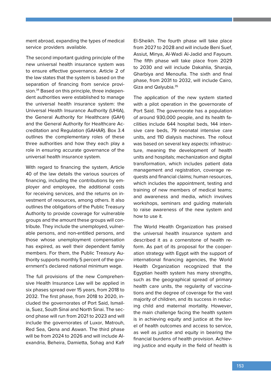ment abroad, expanding the types of medical service providers available.

The second important quiding principle of the new universal health insurance system was to ensure effective governance. Article 2 of the law states that the system is based on the separation of financing from service provision.<sup>34</sup> Based on this principle, three independent authorities were established to manage the universal health insurance system: the Universal Health Insurance Authority (UHIA), the General Authority for Healthcare (GAH) and the General Authority for Healthcare Accreditation and Regulation (GAHAR). Box 3.4 outlines the complementary roles of these three authorities and how they each play a role in ensuring accurate governance of the universal health insurance system.

With regard to financing the system, Article 40 of the law details the various sources of financing, including the contributions by employer and employee, the additional costs for receiving services, and the returns on investment of resources, among others. It also outlines the obligations of the Public Treasury Authority to provide coverage for vulnerable groups and the amount these groups will contribute. They include the unemployed, vulnerable persons, and non-entitled persons, and those whose unemployment compensation has expired, as well their dependent family members. For them, the Public Treasury Authority supports monthly 5 percent of the government's declared national minimum wage.

The full provisions of the new Comprehensive Health Insurance Law will be applied in six phases spread over 15 years, from 2018 to 2032. The first phase, from 2018 to 2020, included the governorates of Port Said, Ismailia, Suez, South Sinai and North Sinai. The second phase will run from 2021 to 2023 and will include the governorates of Luxor, Matrouh, Red Sea, Qena and Aswan. The third phase will be from 2024 to 2026 and will include Alexandria, Beheira, Damietta, Sohag and Kafr El-Sheikh. The fourth phase will take place from 2027 to 2028 and will include Beni Suef, Assiut, Minya, Al-Wadi Al-Jadid and Fayoum. The fifth phase will take place from 2029 to 2030 and will include Dakahlia, Sharqia, Gharbiya and Menoufia. The sixth and final phase, from 2031 to 2032, will include Cairo, Giza and Qalyubia.<sup>35</sup>

The application of the new system started with a pilot operation in the governorate of Port Said. The governorate has a population of around 930,000 people, and its health facilities include 644 hospital beds, 144 intensive care beds, 79 neonatal intensive care units, and 110 dialysis machines. The rollout was based on several key aspects: infrastructure, meaning the development of health units and hospitals; mechanization and digital transformation, which includes patient data management and registration, coverage requests and financial claims; human resources, which includes the appointment, testing and training of new members of medical teams; and awareness and media, which involves workshops, seminars and guiding materials to raise awareness of the new system and how to use it.

The World Health Organization has praised the universal health insurance system and described it as a cornerstone of health reform. As part of its proposal for the cooperation strategy with Egypt with the support of international financing agencies, the World Health Organization recognized that the Egyptian health system has many strengths, such as the geographical spread of primary health care units, the regularity of vaccinations and the degree of coverage for the vast majority of children, and its success in reducing child and maternal mortality. However, the main challenge facing the health system is in achieving equity and justice at the level of health outcomes and access to service, as well as justice and equity in bearing the financial burdens of health provision. Achieving justice and equity in the field of health is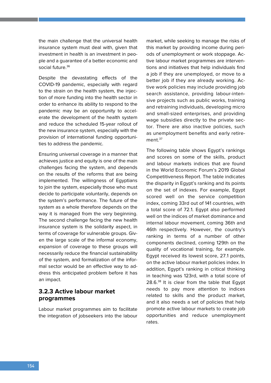the main challenge that the universal health insurance system must deal with, given that investment in health is an investment in people and a guarantee of a better economic and social future.<sup>36</sup>

Despite the devastating effects of the COVID-19 pandemic, especially with regard to the strain on the health system, the injection of more funding into the health sector in order to enhance its ability to respond to the pandemic may be an opportunity to accelerate the development of the health system and reduce the scheduled 15-year rollout of the new insurance system, especially with the provision of international funding opportunities to address the pandemic.

Ensuring universal coverage in a manner that achieves justice and equity is one of the main challenges facing the system, and depends on the results of the reforms that are being implemented. The willingness of Egyptians to join the system, especially those who must decide to participate voluntarily, depends on the system's performance. The future of the system as a whole therefore depends on the way it is managed from the very beginning. The second challenge facing the new health insurance system is the solidarity aspect, in terms of coverage for vulnerable groups. Given the large scale of the informal economy, expansion of coverage to these groups will necessarily reduce the financial sustainability of the system, and formalization of the informal sector would be an effective way to address this anticipated problem before it has an impact.

## **3.2.3 Active labour market programmes**

Labour market programmes aim to facilitate the integration of jobseekers into the labour

market, while seeking to manage the risks of this market by providing income during periods of unemployment or work stoppage. Active labour market programmes are interventions and initiatives that help individuals find a job if they are unemployed, or move to a better job if they are already working. Active work policies may include providing job search assistance, providing labour-intensive projects such as public works, training and retraining individuals, developing micro and small-sized enterprises, and providing wage subsidies directly to the private sector. There are also inactive policies, such as unemployment benefits and early retirement.<sup>37</sup>

The following table shows Egypt's rankings and scores on some of the skills, product and labour markets indices that are found in the World Economic Forum's 2019 Global Competitiveness Report. The table indicates the disparity in Egypt's ranking and its points on the set of indexes. For example, Egypt scored well on the service competition index, coming 33rd out of 141 countries, with a total score of 72.1. Egypt also performed well on the indices of market dominance and internal labour movement, coming 36th and 46th respectively. However, the country's ranking in terms of a number of other components declined, coming 129th on the quality of vocational training, for example. Egypt received its lowest score, 27.1 points, on the active labour market policies index. In addition, Egypt's ranking in critical thinking in teaching was 123rd, with a total score of 28.6.38 It is clear from the table that Egypt needs to pay more attention to indices related to skills and the product market, and it also needs a set of policies that help promote active labour markets to create job opportunities and reduce unemployment rates.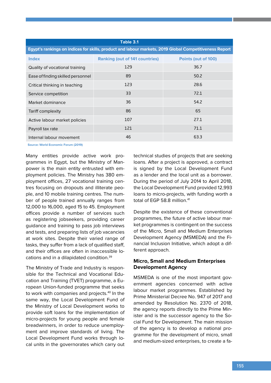| Table 3.1                                                                                              |                                       |                     |
|--------------------------------------------------------------------------------------------------------|---------------------------------------|---------------------|
| Egypt's rankings on indices for skills, product and labour markets, 2019 Global Competitiveness Report |                                       |                     |
| <b>Index</b>                                                                                           | <b>Ranking (out of 141 countries)</b> | Points (out of 100) |
| Quality of vocational training                                                                         | 129                                   | 36.7                |
| Ease of finding skilled personnel                                                                      | 89                                    | 50.2                |
| Critical thinking in teaching                                                                          | 123                                   | 28.6                |
| Service competition                                                                                    | 33                                    | 72.1                |
| Market dominance                                                                                       | 36                                    | 54.2                |
| Tariff complexity                                                                                      | 86                                    | 65                  |
| Active labour market policies                                                                          | 107                                   | 27.1                |
| Payroll tax rate                                                                                       | 121                                   | 71.1                |
| Internal labour movement                                                                               | 46                                    | 63.3                |

**Source: World Economic Forum (2019)**

Many entities provide active work programmes in Egypt, but the Ministry of Manpower is the main entity entrusted with employment policies. The Ministry has 380 employment offices, 27 vocational training centres focusing on dropouts and illiterate people, and 10 mobile training centres. The number of people trained annually ranges from 12,000 to 16,000, aged 15 to 45. Employment offices provide a number of services such as registering jobseekers, providing career guidance and training to pass job interviews and tests, and preparing lists of job vacancies at work sites. Despite their varied range of tasks, they suffer from a lack of qualified staff, and their offices are often in inaccessible locations and in a dilapidated condition.39

The Ministry of Trade and Industry is responsible for the Technical and Vocational Education and Training (TVET) programme, a European Union-funded programme that seeks to work with companies and projects.<sup>40</sup> In the same way, the Local Development Fund of the Ministry of Local Development works to provide soft loans for the implementation of micro-projects for young people and female breadwinners, in order to reduce unemployment and improve standards of living. The Local Development Fund works through local units in the governorates which carry out technical studies of projects that are seeking loans. After a project is approved, a contract is signed by the Local Development Fund as a lender and the local unit as a borrower. During the period of July 2014 to April 2018, the Local Development Fund provided 12,993 loans to micro-projects, with funding worth a total of EGP 58.8 million.<sup>41</sup>

Despite the existence of these conventional programmes, the future of active labour market programmes is contingent on the success of the Micro, Small and Medium Enterprises Development Agency (MSMEDA) and the Financial Inclusion Initiative, which adopt a different approach.

#### **Micro, Small and Medium Enterprises Development Agency**

MSMEDA is one of the most important government agencies concerned with active labour market programmes. Established by Prime Ministerial Decree No. 947 of 2017 and amended by Resolution No. 2370 of 2018, the agency reports directly to the Prime Minister and is the successor agency to the Social Fund for Development. The main mission of the agency is to develop a national programme for the development of micro, small and medium-sized enterprises, to create a fa-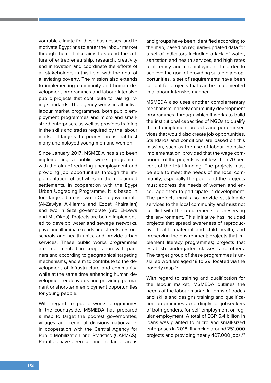vourable climate for these businesses, and to motivate Egyptians to enter the labour market through them. It also aims to spread the culture of entrepreneurship, research, creativity and innovation and coordinate the efforts of all stakeholders in this field, with the goal of alleviating poverty. The mission also extends to implementing community and human development programmes and labour-intensive public projects that contribute to raising living standards. The agency works in all active labour market programmes, both public employment programmes and micro and smallsized enterprises, as well as provides training in the skills and trades required by the labour market. It targets the poorest areas that host many unemployed young men and women.

Since January 2017, MSMEDA has also been implementing a public works programme with the aim of reducing unemployment and providing job opportunities through the implementation of activities in the unplanned settlements, in cooperation with the Egypt Urban Upgrading Programme. It is based in four targeted areas, two in Cairo governorate (Al-Zawiya Al-Hamra and Ezbet Khairallah) and two in Giza governorate (Ard El-Lewa and Mit Okba). Projects are being implemented to develop water and sewage networks, pave and illuminate roads and streets, restore schools and health units, and provide urban services. These public works programmes are implemented in cooperation with partners and according to geographical targeting mechanisms, and aim to contribute to the development of infrastructure and community, while at the same time enhancing human development endeavours and providing permanent or short-term employment opportunities for young people.

With regard to public works programmes in the countryside, MSMEDA has prepared a map to target the poorest governorates, villages and regional divisions nationwide, in cooperation with the Central Agency for Public Mobilization and Statistics (CAPMAS). Priorities have been set and the target areas and groups have been identified according to the map, based on regularly-updated data for a set of indicators including a lack of water, sanitation and health services, and high rates of illiteracy and unemployment. In order to achieve the goal of providing suitable job opportunities, a set of requirements have been set out for projects that can be implemented in a labour-intensive manner.

MSMEDA also uses another complementary mechanism, namely community development programmes, through which it works to build the institutional capacities of NGOs to qualify them to implement projects and perform services that would also create job opportunities. Standards and conditions are based on this mission, such as the use of labour-intensive implementation, provided that the wage component of the projects is not less than 70 percent of the total funding. The projects must be able to meet the needs of the local community, especially the poor, and the projects must address the needs of women and encourage them to participate in development. The projects must also provide sustainable services to the local community and must not conflict with the requirements of preserving the environment. This initiative has included projects that spread awareness of reproductive health, maternal and child health, and preserving the environment; projects that implement literacy programmes; projects that establish kindergarten classes; and others. The target group of these programmes is unskilled workers aged 18 to 29, located via the poverty map.42

With regard to training and qualification for the labour market, MSMEDA outlines the needs of the labour market in terms of trades and skills and designs training and qualification programmes accordingly for jobseekers of both genders, for self-employment or regular employment. A total of EGP 5.4 billion in loans was granted to micro and small-sized enterprises in 2018, financing around 251,000 projects and providing nearly 407,000 jobs.<sup>43</sup>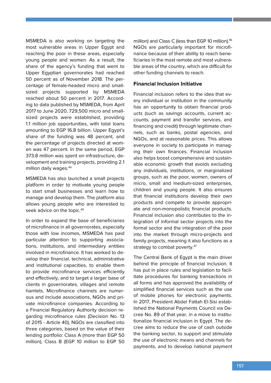MSMEDA is also working on targeting the most vulnerable areas in Upper Egypt and reaching the poor in these areas, especially young people and women. As a result, the share of the agency's funding that went to Upper Egyptian governorates had reached 50 percent as of November 2018. The percentage of female-headed micro and smallsized projects supported by MSMEDA reached about 50 percent in 2017. According to data published by MSMEDA, from April 2017 to June 2020, 729,500 micro and smallsized projects were established, providing 1.1 million job opportunities, with total loans amounting to EGP 16.8 billion. Upper Egypt's share of the funding was 48 percent, and the percentage of projects directed at women was 47 percent. In the same period, EGP 373.8 million was spent on infrastructure, development and training projects, providing 2.1 million daily wages.<sup>44</sup>

MSMEDA has also launched a small projects platform in order to motivate young people to start small businesses and learn how to manage and develop them. The platform also allows young people who are interested to seek advice on the topic.<sup>45</sup>

In order to expand the base of beneficiaries of microfinance in all governorates, especially those with low incomes, MSMEDA has paid particular attention to supporting associations, institutions, and intermediary entities involved in microfinance. It has worked to develop their financial, technical, administrative and institutional capacities, to enable them to provide microfinance services efficiently and effectively, and to target a larger base of clients in governorates, villages and remote hamlets. Microfinance channels are numerous and include associations, NGOs and private microfinance companies. According to a Financial Regulatory Authority decision regarding microfinance rules (Decision No. 13 of 2015 - Article 40), NGOs are classified into three categories, based on the value of their lending portfolio: Class A (more than EGP 50 million), Class B (EGP 10 million to EGP 50

million) and Class C (less than EGP 10 million).<sup>46</sup> NGOs are particularly important for microfinance because of their ability to reach beneficiaries in the most remote and most vulnerable areas of the country, which are difficult for other funding channels to reach.

#### **Financial Inclusion Initiative**

Financial inclusion refers to the idea that every individual or institution in the community has an opportunity to obtain financial products (such as savings accounts, current accounts, payment and transfer services, and financing and credit) through legitimate channels, such as banks, postal agencies, and NGOs, and at reasonable prices. This allows everyone in society to participate in managing their own finances. Financial inclusion also helps boost comprehensive and sustainable economic growth that avoids excluding any individuals, institutions, or marginalized groups, such as the poor, women, owners of micro, small and medium-sized enterprises, children and young people. It also ensures that financial institutions develop their own products and compete to provide appropriate and non-monopolistic financial products. Financial inclusion also contributes to the integration of informal sector projects into the formal sector and the integration of the poor into the market through micro-projects and family projects, meaning it also functions as a strategy to combat poverty.<sup>47</sup>

The Central Bank of Egypt is the main driver behind the principle of financial inclusion. It has put in place rules and legislation to facilitate procedures for banking transactions in all forms and has approved the availability of simplified financial services such as the use of mobile phones for electronic payments. In 2017, President Abdel Fattah El-Sisi established the National Payments Council via Decree No. 89 of that year, in a move to institutionalize financial inclusion in Egypt. The decree aims to reduce the use of cash outside the banking sector, to support and stimulate the use of electronic means and channels for payments, and to develop national payment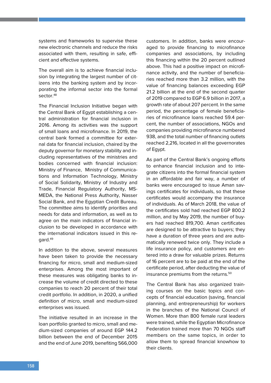systems and frameworks to supervise these new electronic channels and reduce the risks associated with them, resulting in safe, efficient and effective systems.

The overall aim is to achieve financial inclusion by integrating the largest number of citizens into the banking system and by incorporating the informal sector into the formal sector.<sup>48</sup>

The Financial Inclusion Initiative began with the Central Bank of Egypt establishing a central administration for financial inclusion in 2016. Among its activities was the support of small loans and microfinance. In 2019, the central bank formed a committee for external data for financial inclusion, chaired by the deputy governor for monetary stability and including representatives of the ministries and bodies concerned with financial inclusion: Ministry of Finance, Ministry of Communications and Information Technology, Ministry of Social Solidarity, Ministry of Industry and Trade, Financial Regulatory Authority, MS-MEDA, the National Press Authority, Nasser Social Bank, and the Egyptian Credit Bureau. The committee aims to identify priorities and needs for data and information, as well as to agree on the main indicators of financial inclusion to be developed in accordance with the international indicators issued in this regard.49

In addition to the above, several measures have been taken to provide the necessary financing for micro, small and medium-sized enterprises. Among the most important of these measures was obligating banks to increase the volume of credit directed to these companies to reach 20 percent of their total credit portfolio. In addition, in 2020, a unified definition of micro, small and medium-sized enterprises was issued.

The initiative resulted in an increase in the loan portfolio granted to micro, small and medium-sized companies of around EGP 144.2 billion between the end of December 2015 and the end of June 2019, benefiting 566,000 customers. In addition, banks were encouraged to provide financing to microfinance companies and associations, by including this financing within the 20 percent outlined above. This had a positive impact on microfinance activity, and the number of beneficiaries reached more than 3.2 million, with the value of financing balances exceeding EGP 21.2 billion at the end of the second quarter of 2019 compared to EGP 6.9 billion in 2017, a growth rate of about 207 percent. In the same period, the percentage of female beneficiaries of microfinance loans reached 59.4 percent, the number of associations, NGOs and companies providing microfinance numbered 938, and the total number of financing outlets reached 2,216, located in all the governorates of Egypt.

As part of the Central Bank's ongoing efforts to enhance financial inclusion and to integrate citizens into the formal financial system in an affordable and fair way, a number of banks were encouraged to issue Aman savings certificates for individuals, so that these certificates would accompany the insurance of individuals. As of March 2018, the value of the certificates sold had reached EGP 800.2 million, and by May 2019, the number of buyers had reached 819,700. Aman certificates are designed to be attractive to buyers; they have a duration of three years and are automatically renewed twice only. They include a life insurance policy, and customers are entered into a draw for valuable prizes. Returns of 16 percent are to be paid at the end of the certificate period, after deducting the value of insurance premiums from the returns.<sup>50</sup>

The Central Bank has also organized training courses on the basic topics and concepts of financial education (saving, financial planning, and entrepreneurship) for workers in the branches of the National Council of Women. More than 800 female rural leaders were trained, while the Egyptian Microfinance Federation trained more than 70 NGOs staff members on the same topics, in order to allow them to spread financial knowhow to their clients.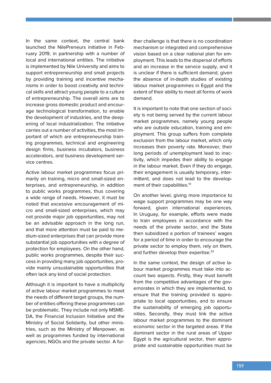In the same context, the central bank launched the NilePreneurs initiative in February 2019, in partnership with a number of local and international entities. The initiative is implemented by Nile University and aims to support entrepreneurship and small projects by providing training and incentive mechanisms in order to boost creativity and technical skills and attract young people to a culture of entrepreneurship. The overall aims are to increase gross domestic product and encourage technological transformation, to enable the development of industries, and the deepening of local industrialization. The initiative carries out a number of activities, the most important of which are entrepreneurship training programmes, technical and engineering design firms, business incubators, business accelerators, and business development service centres.

Active labour market programmes focus primarily on training, micro and small-sized enterprises, and entrepreneurship, in addition to public works programmes, thus covering a wide range of needs. However, it must be noted that excessive encouragement of micro and small-sized enterprises, which may not provide major job opportunities, may not be an advisable approach in the long run, and that more attention must be paid to medium-sized enterprises that can provide more substantial job opportunities with a degree of protection for employees. On the other hand, public works programmes, despite their success in providing many job opportunities, provide mainly unsustainable opportunities that often lack any kind of social protection.

Although it is important to have a multiplicity of active labour market programmes to meet the needs of different target groups, the number of entities offering these programmes can be problematic. They include not only MSME-DA, the Financial Inclusion Initiative and the Ministry of Social Solidarity, but other ministries, such as the Ministry of Manpower, as well as programmes funded by international agencies, NGOs and the private sector. A further challenge is that there is no coordination mechanism or integrated and comprehensive vision based on a clear national plan for employment. This leads to the dispersal of efforts and an increase in the service supply, and it is unclear if there is sufficient demand, given the absence of in-depth studies of existing labour market programmes in Egypt and the extent of their ability to meet all forms of work demand.

It is important to note that one section of society is not being served by the current labour market programmes, namely young people who are outside education, training and employment. This group suffers from complete exclusion from the labour market, which only increases their poverty rate. Moreover, their long periods of unemployment lead to inactivity, which impedes their ability to engage in the labour market. Even if they do engage, their engagement is usually temporary, intermittent, and does not lead to the development of their capabilities.<sup>51</sup>

On another level, giving more importance to wage support programmes may be one way forward, given international experiences. In Uruguay, for example, efforts were made to train employees in accordance with the needs of the private sector, and the State then subsidized a portion of trainees' wages for a period of time in order to encourage the private sector to employ them, rely on them, and further develop their expertise.<sup>52</sup>

In the same context, the design of active labour market programmes must take into account two aspects. Firstly, they must benefit from the competitive advantages of the governorates in which they are implemented, to ensure that the training provided is appropriate to local opportunities, and to ensure the sustainability of emerging job opportunities. Secondly, they must link the active labour market programmes to the dominant economic sector in the targeted areas. If the dominant sector in the rural areas of Upper Egypt is the agricultural sector, then appropriate and sustainable opportunities must be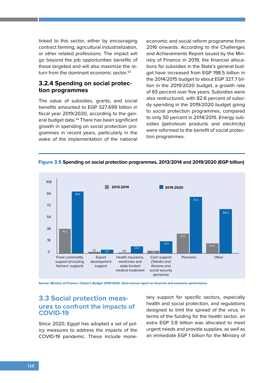linked to this sector, either by encouraging contract farming, agricultural industrialization, or other related professions. The impact will go beyond the job opportunities benefits of those targeted and will also maximize the return from the dominant economic sector.<sup>53</sup>

## **3.2.4 Spending on social protection programmes**

The value of subsidies, grants, and social benefits amounted to EGP 327.699 billion in fiscal year 2019/2020, according to the general budget data.<sup>54</sup> There has been significant growth in spending on social protection programmes in recent years, particularly in the wake of the implementation of the national economic and social reform programme from 2016 onwards. According to the Challenges and Achievements Report issued by the Ministry of Finance in 2019, the financial allocations for subsidies in the State's general budget have increased from EGP 198.5 billion in the 2014/2015 budget to about EGP 327.7 billion in the 2019/2020 budget, a growth rate of 65 percent over five years. Subsidies were also restructured, with 82.6 percent of subsidy spending in the 2019/2020 budget going to social protection programmes, compared to only 50 percent in 2014/2015. Energy subsidies (petroleum products and electricity) were reformed to the benefit of social protection programmes.



#### **Figure 3.5 Spending on social protection programmes, 2013/2014 and 2019/2020 (EGP billion)**

**Source: Ministry of Finance, Citizen's Budget 2019/ 2020, Semi-annual report on financial and economic performance.**

## **3.3 Social protection measures to confront the impacts of COVID-19**

Since 2020, Egypt has adopted a set of policy measures to address the impacts of the COVID-19 pandemic. These include monetary support for specific sectors, especially health and social protection, and regulations designed to limit the spread of the virus. In terms of the funding for the health sector, an extra EGP 3.8 billion was allocated to meet urgent needs and provide supplies, as well as an immediate EGP 1 billion for the Ministry of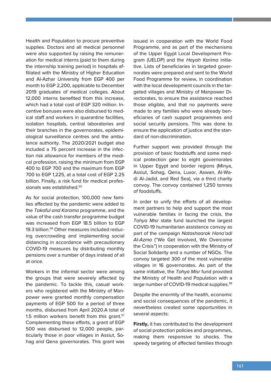Health and Population to procure preventive supplies. Doctors and all medical personnel were also supported by raising the remuneration for medical interns (paid to them during the internship training period) in hospitals affiliated with the Ministry of Higher Education and Al-Azhar University from EGP 400 per month to EGP 2,200, applicable to December 2019 graduates of medical colleges. About 12,000 interns benefited from this increase, which had a total cost of EGP 320 million. Incentive bonuses were also disbursed to medical staff and workers in quarantine facilities, isolation hospitals, central laboratories and their branches in the governorates, epidemiological surveillance centres and the ambulance authority. The 2020/2021 budget also included a 75 percent increase in the infection risk allowance for members of the medical profession, raising the minimum from EGP 400 to EGP 700 and the maximum from EGP 700 to EGP 1,225, at a total cost of EGP 2.25 billion. Finally, a risk fund for medical professionals was established.<sup>55</sup>

As for social protection, 100,000 new families affected by the pandemic were added to the Takaful and Karama programme, and the value of the cash transfer programme budget was increased from EGP 18.5 billion to EGP 19.3 billion.<sup>56</sup> Other measures included reducing overcrowding and implementing social distancing in accordance with precautionary COVID-19 measures by distributing monthly pensions over a number of days instead of all at once.

Workers in the informal sector were among the groups that were severely affected by the pandemic. To tackle this, casual workers who registered with the Ministry of Manpower were granted monthly compensation payments of EGP 500 for a period of three months, disbursed from April 2020.A total of 1.5 million workers benefit from this grant.<sup>57</sup> Complementing these efforts, a grant of EGP 500 was disbursed to 12,000 people, particularly those in poor villages in Assiut, Sohag and Qena governorates. This grant was

issued in cooperation with the World Food Programme, and as part of the mechanisms of the Upper Egypt Local Development Program (UELDP) and the Hayah Karima initiative. Lists of beneficiaries in targeted governorates were prepared and sent to the World Food Programme for review, in coordination with the local development councils in the targeted villages and Ministry of Manpower Directorates, to ensure the assistance reached those eligible, and that no payments were made to any families who were already beneficiaries of cash support programmes and social security pensions. This was done to ensure the application of justice and the standard of non-discrimination.

Further support was provided through the provision of basic foodstuffs and some medical protection gear to eight governorates in Upper Egypt and border regions (Minya, Assiut, Sohag, Qena, Luxor, Aswan, Al-Wadi Al-Jadid, and Red Sea), via a third charity convoy. The convoy contained 1,250 tonnes of foodstuffs.

In order to unify the efforts of all development partners to help and support the most vulnerable families in facing the crisis, the Tahya Misr state fund launched the largest COVID-19 humanitarian assistance convoy as part of the campaign Natashaarak Hana'adi Al-Azma ("We Get Involved, We Overcome the Crisis") in cooperation with the Ministry of Social Solidarity and a number of NGOs. The convoy targeted 300 of the most vulnerable villages in 16 governorates. As part of the same initiative, the Tahva Misr fund provided the Ministry of Health and Population with a large number of COVID-19 medical supplies.<sup>58</sup>

Despite the enormity of the health, economic and social consequences of the pandemic, it nevertheless created some opportunities in several aspects:

**Firstly,** it has contributed to the development of social protection policies and programmes, making them responsive to shocks. The speedy targeting of affected families through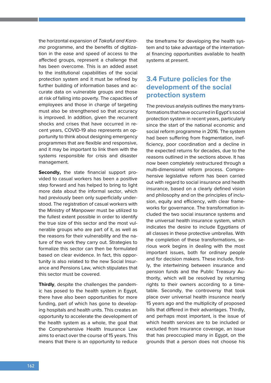the horizontal expansion of Takaful and Karama programme, and the benefits of digitization in the ease and speed of access to the affected groups, represent a challenge that has been overcome. This is an added asset to the institutional capabilities of the social protection system and it must be refined by further building of information bases and accurate data on vulnerable groups and those at risk of falling into poverty. The capacities of employees and those in charge of targeting must also be strengthened so that accuracy is improved. In addition, given the recurrent shocks and crises that have occurred in recent years, COVID-19 also represents an opportunity to think about designing emergency programmes that are flexible and responsive, and it may be important to link them with the systems responsible for crisis and disaster management.

**Secondly,** the state financial support provided to casual workers has been a positive step forward and has helped to bring to light more data about the informal sector, which had previously been only superficially understood. The registration of casual workers with the Ministry of Manpower must be utilized to the fullest extent possible in order to identify the true size of this sector and the most vulnerable groups who are part of it, as well as the reasons for their vulnerability and the nature of the work they carry out. Strategies to formalize this sector can then be formulated based on clear evidence. In fact, this opportunity is also related to the new Social Insurance and Pensions Law, which stipulates that this sector must be covered.

**Thirdly**, despite the challenges the pandemic has posed to the health system in Egypt, there have also been opportunities for more funding, part of which has gone to developing hospitals and health units. This creates an opportunity to accelerate the development of the health system as a whole, the goal that the Comprehensive Health Insurance Law aims to enact over the course of 15 years. This means that there is an opportunity to reduce the timeframe for developing the health system and to take advantage of the international financing opportunities available to health systems at present.

## **3.4 Future policies for the development of the social protection system**

The previous analysis outlines the many transformations that have occurred in Egypt's social protection system in recent years, particularly since the start of the national economic and social reform programme in 2016. The system had been suffering from fragmentation, inefficiency, poor coordination and a decline in the expected returns for decades, due to the reasons outlined in the sections above. It has now been completely restructured through a multi-dimensional reform process. Comprehensive legislative reform has been carried out with regard to social insurance and health insurance, based on a clearly defined vision and philosophy and on the principles of inclusion, equity and efficiency, with clear frameworks for governance. The transformation included the two social insurance systems and the universal health insurance system, which indicates the desire to include Egyptians of all classes in these protective umbrellas. With the completion of these transformations, serious work begins in dealing with the most important issues, both for ordinary people and for decision makers. These include, firstly, the intertwining between insurance and pension funds and the Public Treasury Authority, which will be resolved by returning rights to their owners according to a timetable. Secondly, the controversy that took place over universal health insurance nearly 15 years ago and the multiplicity of proposed bills that differed in their advantages. Thirdly, and perhaps most important, is the issue of which health services are to be included or excluded from insurance coverage, an issue that has preoccupied many in Egypt, on the grounds that a person does not choose his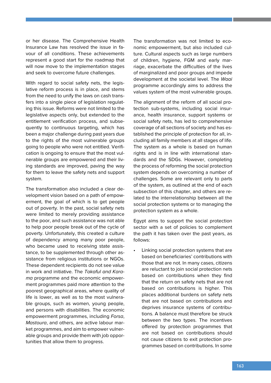or her disease. The Comprehensive Health Insurance Law has resolved the issue in favour of all conditions. These achievements represent a good start for the roadmap that will now move to the implementation stages and seek to overcome future challenges.

With regard to social safety nets, the legislative reform process is in place, and stems from the need to unify the laws on cash transfers into a single piece of legislation regulating this issue. Reforms were not limited to the legislative aspects only, but extended to the entitlement verification process, and subsequently to continuous targeting, which has been a major challenge during past years due to the rights of the most vulnerable groups going to people who were not entitled. Verification is ongoing to ensure that the most vulnerable groups are empowered and their living standards are improved, paving the way for them to leave the safety nets and support system.

The transformation also included a clear development vision based on a path of empowerment, the goal of which is to get people out of poverty. In the past, social safety nets were limited to merely providing assistance to the poor, and such assistance was not able to help poor people break out of the cycle of poverty. Unfortunately, this created a culture of dependency among many poor people, who became used to receiving state assistance, to be supplemented through other assistance from religious institutions or NGOs. These dependent recipients do not see value in work and initiative. The Takaful and Karama programme and the economic empowerment programmes paid more attention to the poorest geographical areas, where quality of life is lower, as well as to the most vulnerable groups, such as women, young people, and persons with disabilities. The economic empowerment programmes, including Forsa, Mastoura, and others, are active labour market programmes, and aim to empower vulnerable groups and provide them with job opportunities that allow them to progress.

The transformation was not limited to economic empowerment, but also included culture. Cultural aspects such as large numbers of children, hygiene, FGM and early marriage, exacerbate the difficulties of the lives of marginalized and poor groups and impede development at the societal level. The Waai programme accordingly aims to address the values system of the most vulnerable groups.

The alignment of the reform of all social protection sub-systems, including social insurance, health insurance, support systems or social safety nets, has led to comprehensive coverage of all sections of society and has established the principle of protection for all, including all family members at all stages of life. The system as a whole is based on human rights and is in line with international standards and the SDGs. However, completing the process of reforming the social protection system depends on overcoming a number of challenges. Some are relevant only to parts of the system, as outlined at the end of each subsection of this chapter, and others are related to the interrelationship between all the social protection systems or to managing the protection system as a whole.

Egypt aims to support the social protection sector with a set of policies to complement the path it has taken over the past years, as follows:

• Linking social protection systems that are based on beneficiaries' contributions with those that are not. In many cases, citizens are reluctant to join social protection nets based on contributions when they find that the return on safety nets that are not based on contributions is higher. This places additional burdens on safety nets that are not based on contributions and deprives insurance systems of contributions. A balance must therefore be struck between the two types. The incentives offered by protection programmes that are not based on contributions should not cause citizens to exit protection programmes based on contributions. In some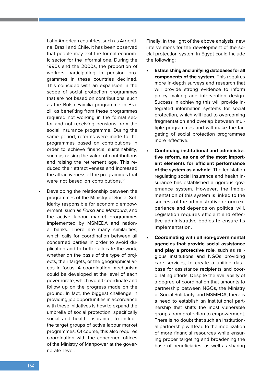Latin American countries, such as Argentina, Brazil and Chile, it has been observed that people may exit the formal economic sector for the informal one. During the 1990s and the 2000s, the proportion of workers participating in pension programmes in these countries declined. This coincided with an expansion in the scope of social protection programmes that are not based on contributions, such as the Bolsa Família programme in Brazil, as benefiting from these programmes required not working in the formal sector and not receiving pensions from the social insurance programme. During the same period, reforms were made to the programmes based on contributions in order to achieve financial sustainability, such as raising the value of contributions and raising the retirement age. This reduced their attractiveness and increased the attractiveness of the programmes that were not based on contributions.59

• Developing the relationship between the programmes of the Ministry of Social Solidarity responsible for economic empowerment, such as Forsa and Mastoura, and the active labour market programmes implemented by MSMEDA and national banks. There are many similarities, which calls for coordination between all concerned parties in order to avoid duplication and to better allocate the work, whether on the basis of the type of projects, their targets, or the geographical areas in focus. A coordination mechanism could be developed at the level of each governorate, which would coordinate and follow up on the progress made on the ground. In fact, the biggest challenge in providing job opportunities in accordance with these initiatives is how to expand the umbrella of social protection, specifically social and health insurance, to include the target groups of active labour market programmes. Of course, this also requires coordination with the concerned offices of the Ministry of Manpower at the governorate level.

Finally, in the light of the above analysis, new interventions for the development of the social protection system in Egypt could include the following:

- **• Establishing and unifying databases for all components of the system**. This requires more in-depth surveys and research that will provide strong evidence to inform policy making and intervention design. Success in achieving this will provide integrated information systems for social protection, which will lead to overcoming fragmentation and overlap between multiple programmes and will make the targeting of social protection programmes more effective.
- **• Continuing institutional and administrative reform, as one of the most important elements for efficient performance of the system as a whole**. The legislation regulating social insurance and health insurance has established a rigorous governance system. However, the implementation of this system is linked to the success of the administrative reform experience and depends on political will. Legislation requires efficient and effective administrative bodies to ensure its implementation.
- **• Coordinating with all non-governmental agencies that provide social assistance and play a protective role**, such as religious institutions and NGOs providing care services, to create a unified database for assistance recipients and coordinating efforts. Despite the availability of a degree of coordination that amounts to partnership between NGOs, the Ministry of Social Solidarity, and MSMEDA, there is a need to establish an institutional partnership that shifts the most vulnerable groups from protection to empowerment. There is no doubt that such an institutional partnership will lead to the mobilization of more financial resources while ensuring proper targeting and broadening the base of beneficiaries, as well as sharing